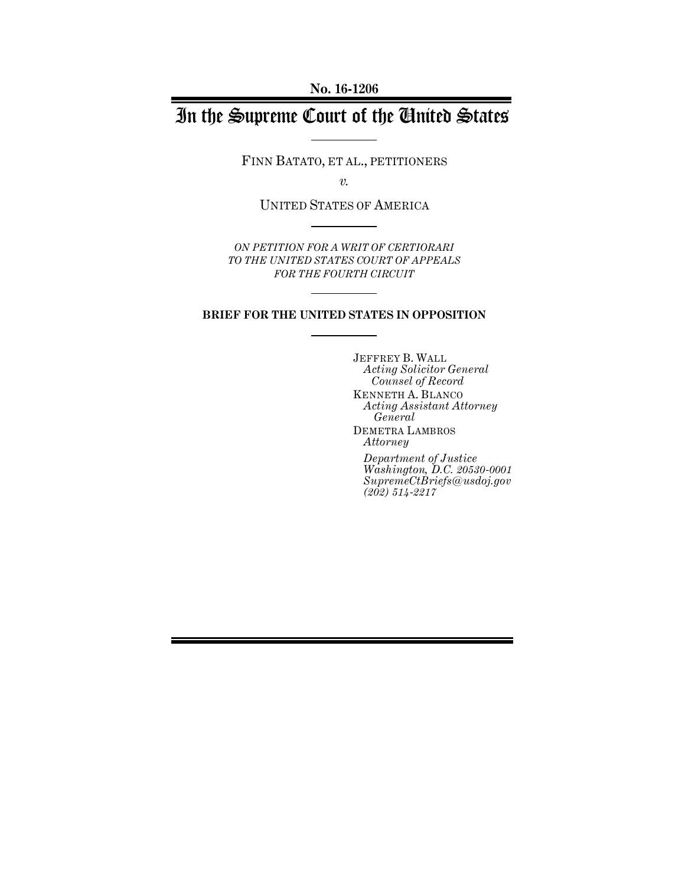**No. 16-1206**

# In the Supreme Court of the United States

FINN BATATO, ET AL., PETITIONERS

*v.*

UNITED STATES OF AMERICA

*ON PETITION FOR A WRIT OF CERTIORARI TO THE UNITED STATES COURT OF APPEALS FOR THE FOURTH CIRCUIT*

#### **BRIEF FOR THE UNITED STATES IN OPPOSITION**

JEFFREY B. WALL *Acting Solicitor General Counsel of Record* KENNETH A. BLANCO *Acting Assistant Attorney General* DEMETRA LAMBROS *Attorney Department of Justice*

*Washington, D.C. 20530-0001 SupremeCtBriefs@usdoj.gov (202) 514-2217*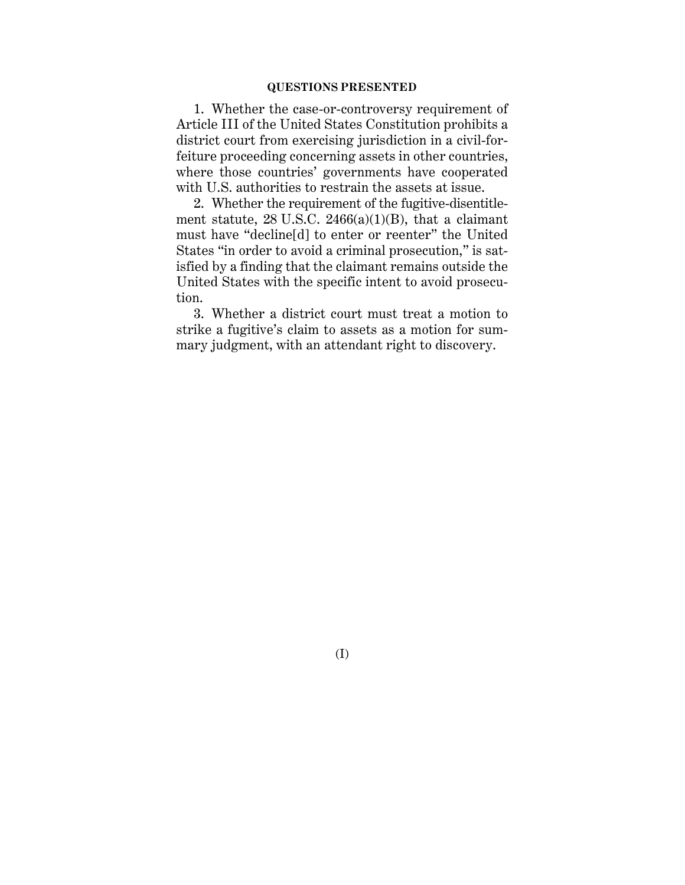#### **QUESTIONS PRESENTED**

1. Whether the case-or-controversy requirement of Article III of the United States Constitution prohibits a district court from exercising jurisdiction in a civil-forfeiture proceeding concerning assets in other countries, where those countries' governments have cooperated with U.S. authorities to restrain the assets at issue.

2. Whether the requirement of the fugitive-disentitlement statute,  $28$  U.S.C.  $2466(a)(1)(B)$ , that a claimant must have "decline[d] to enter or reenter" the United States "in order to avoid a criminal prosecution," is satisfied by a finding that the claimant remains outside the United States with the specific intent to avoid prosecution.

3. Whether a district court must treat a motion to strike a fugitive's claim to assets as a motion for summary judgment, with an attendant right to discovery.

(I)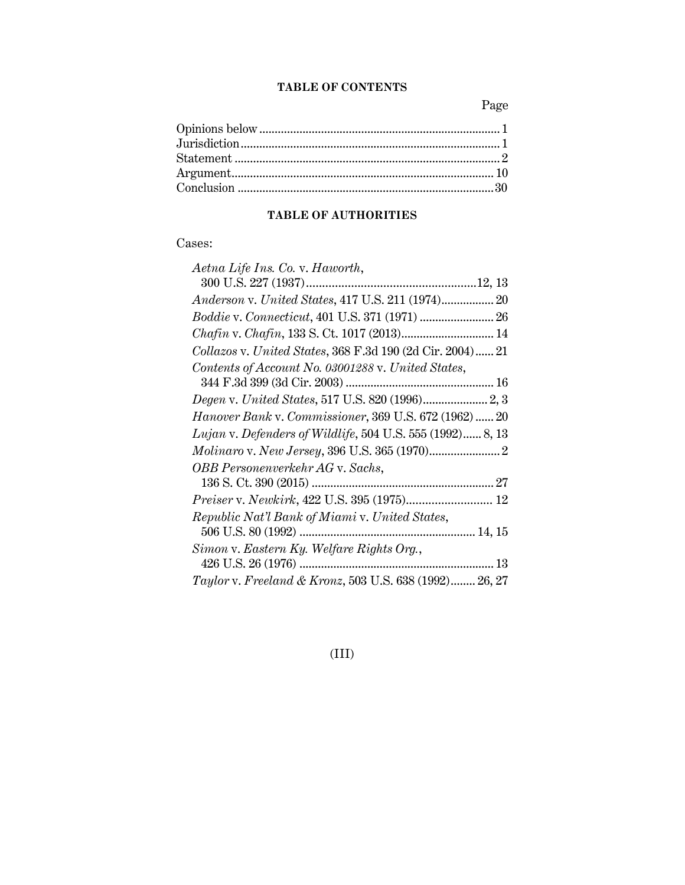### **TABLE OF CONTENTS**

Page

# **TABLE OF AUTHORITIES**

### Cases:

| Aetna Life Ins. Co. v. Haworth,                           |  |
|-----------------------------------------------------------|--|
|                                                           |  |
| Anderson v. United States, 417 U.S. 211 (1974) 20         |  |
|                                                           |  |
| Chafin v. Chafin, 133 S. Ct. 1017 (2013) 14               |  |
| Collazos v. United States, 368 F.3d 190 (2d Cir. 2004) 21 |  |
| Contents of Account No. 03001288 v. United States,        |  |
|                                                           |  |
|                                                           |  |
| Hanover Bank v. Commissioner, 369 U.S. 672 (1962) 20      |  |
| Lujan v. Defenders of Wildlife, 504 U.S. 555 (1992) 8, 13 |  |
|                                                           |  |
| OBB Personenverkehr AG v. Sachs,                          |  |
|                                                           |  |
| Preiser v. Newkirk, 422 U.S. 395 (1975) 12                |  |
| Republic Nat'l Bank of Miami v. United States,            |  |
|                                                           |  |
| Simon v. Eastern Ky. Welfare Rights Org.,                 |  |
|                                                           |  |
| Taylor v. Freeland & Kronz, 503 U.S. 638 (1992) 26, 27    |  |

(III)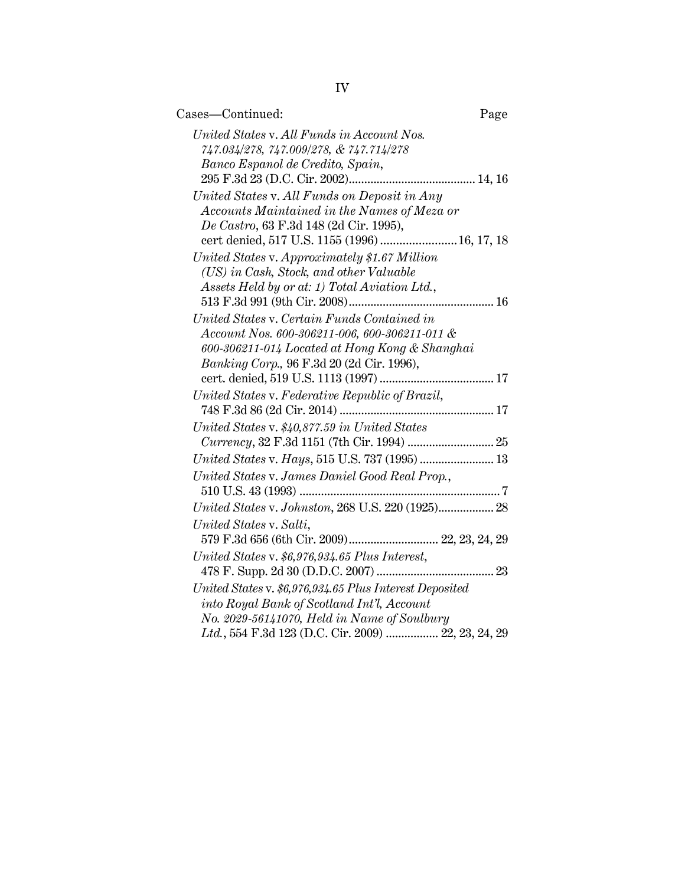| Cases-Continued:                                                                      | Page |
|---------------------------------------------------------------------------------------|------|
| United States v. All Funds in Account Nos.<br>747.034/278, 747.009/278, & 747.714/278 |      |
| Banco Espanol de Credito, Spain,                                                      |      |
|                                                                                       |      |
| United States v. All Funds on Deposit in Any                                          |      |
| Accounts Maintained in the Names of Meza or                                           |      |
| De Castro, 63 F.3d 148 (2d Cir. 1995),                                                |      |
| cert denied, 517 U.S. 1155 (1996)  16, 17, 18                                         |      |
| United States v. Approximately \$1.67 Million                                         |      |
| (US) in Cash, Stock, and other Valuable                                               |      |
| Assets Held by or at: 1) Total Aviation Ltd.,                                         |      |
|                                                                                       |      |
| United States v. Certain Funds Contained in                                           |      |
| Account Nos. 600-306211-006, 600-306211-011 &                                         |      |
| 600-306211-014 Located at Hong Kong & Shanghai                                        |      |
| Banking Corp., 96 F.3d 20 (2d Cir. 1996),                                             |      |
|                                                                                       |      |
| United States v. Federative Republic of Brazil,                                       |      |
|                                                                                       |      |
| United States v. \$40,877.59 in United States                                         |      |
| Currency, 32 F.3d 1151 (7th Cir. 1994)  25                                            |      |
| United States v. Hays, 515 U.S. 737 (1995)  13                                        |      |
| United States v. James Daniel Good Real Prop.,                                        |      |
|                                                                                       |      |
| United States v. Johnston, 268 U.S. 220 (1925) 28                                     |      |
| United States v. Salti,<br>579 F.3d 656 (6th Cir. 2009) 22, 23, 24, 29                |      |
| United States v. \$6,976,934.65 Plus Interest,                                        |      |
|                                                                                       |      |
| United States v. \$6,976,934.65 Plus Interest Deposited                               |      |
| into Royal Bank of Scotland Int'l, Account                                            |      |
| No. 2029-56141070, Held in Name of Soulbury                                           |      |
| Ltd., 554 F.3d 123 (D.C. Cir. 2009)  22, 23, 24, 29                                   |      |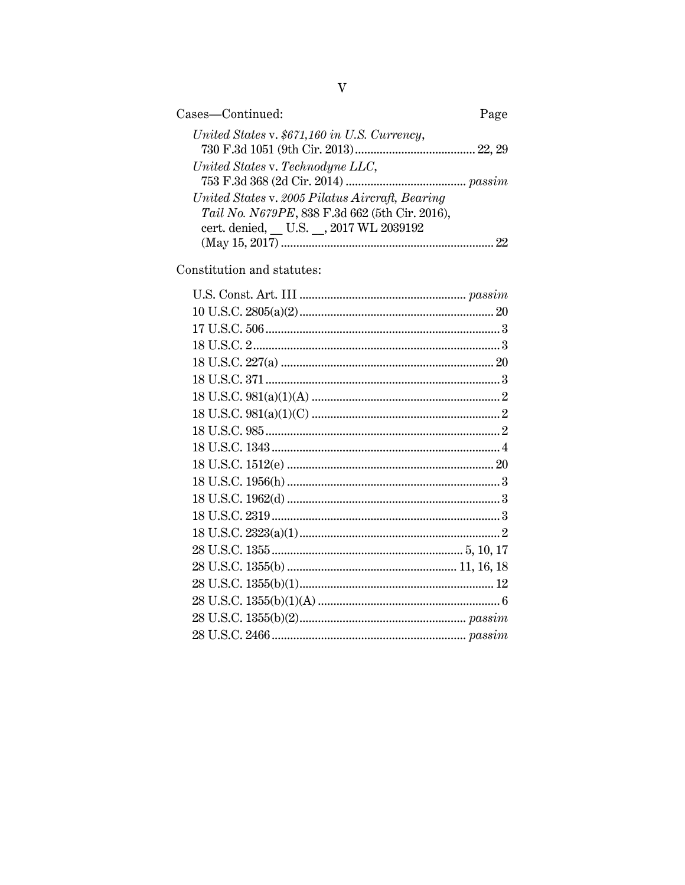| Cases-Continued:                                                                                  | Page |
|---------------------------------------------------------------------------------------------------|------|
| United States v. \$671,160 in U.S. Currency,                                                      |      |
| United States v. Technodyne LLC,                                                                  |      |
| United States v. 2005 Pilatus Aircraft, Bearing<br>Tail No. N679PE, 838 F.3d 662 (5th Cir. 2016), |      |
| cert. denied, U.S. , 2017 WL 2039192                                                              | 99.  |

Constitution and statutes: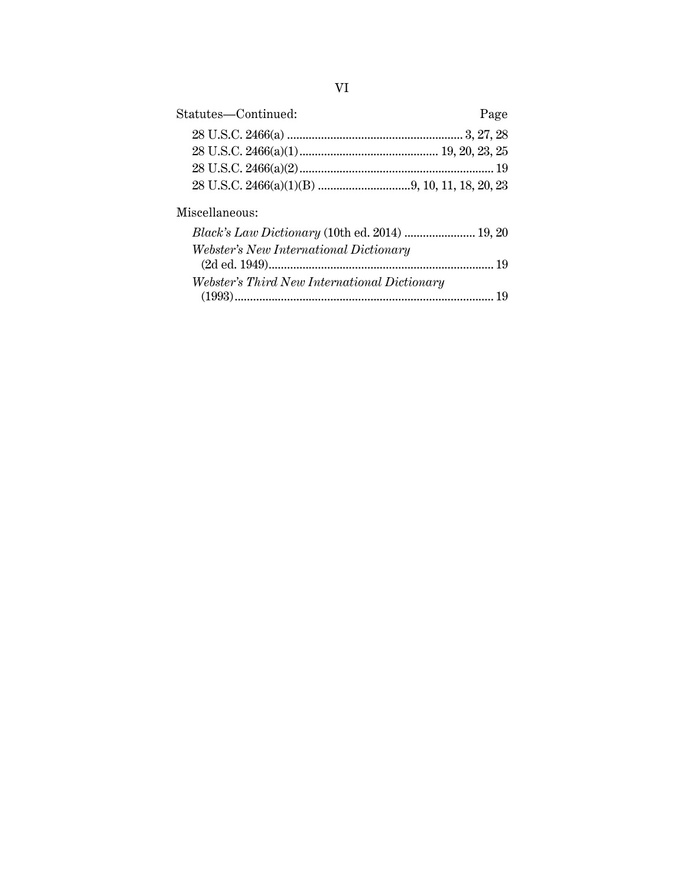| Statutes-Continued: | Page |
|---------------------|------|
|                     |      |
|                     |      |
|                     |      |
|                     |      |

## Miscellaneous:

| Webster's New International Dictionary       |  |
|----------------------------------------------|--|
|                                              |  |
| Webster's Third New International Dictionary |  |
|                                              |  |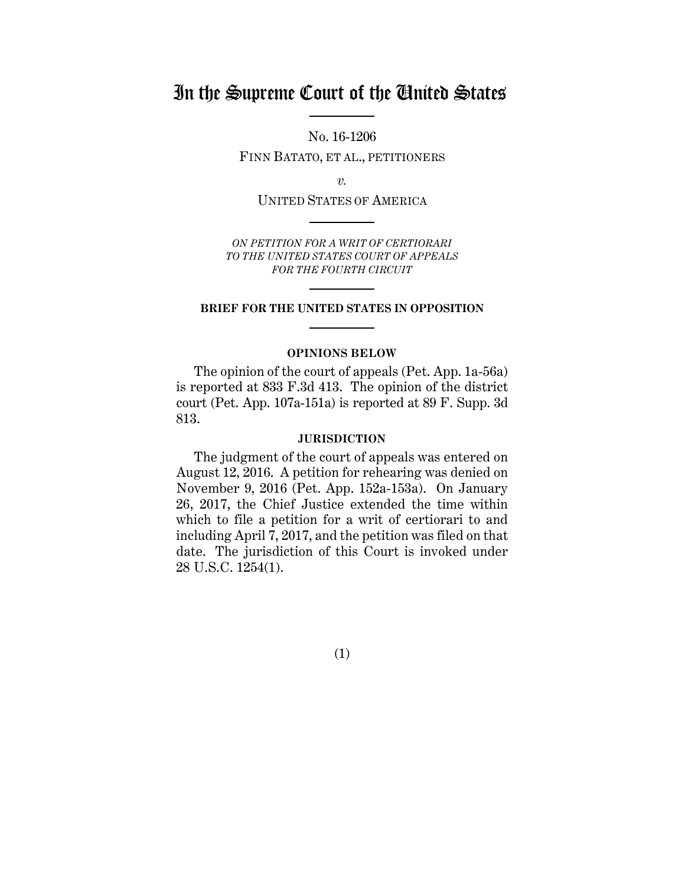# In the Supreme Court of the United States

No. 16-1206

FINN BATATO, ET AL., PETITIONERS

*v.*

UNITED STATES OF AMERICA

*ON PETITION FOR A WRIT OF CERTIORARI TO THE UNITED STATES COURT OF APPEALS FOR THE FOURTH CIRCUIT*

#### **BRIEF FOR THE UNITED STATES IN OPPOSITION**

#### **OPINIONS BELOW**

The opinion of the court of appeals (Pet. App. 1a-56a) is reported at 833 F.3d 413. The opinion of the district court (Pet. App. 107a-151a) is reported at 89 F. Supp. 3d 813.

#### **JURISDICTION**

The judgment of the court of appeals was entered on August 12, 2016. A petition for rehearing was denied on November 9, 2016 (Pet. App. 152a-153a). On January 26, 2017, the Chief Justice extended the time within which to file a petition for a writ of certiorari to and including April 7, 2017, and the petition was filed on that date. The jurisdiction of this Court is invoked under 28 U.S.C. 1254(1).

(1)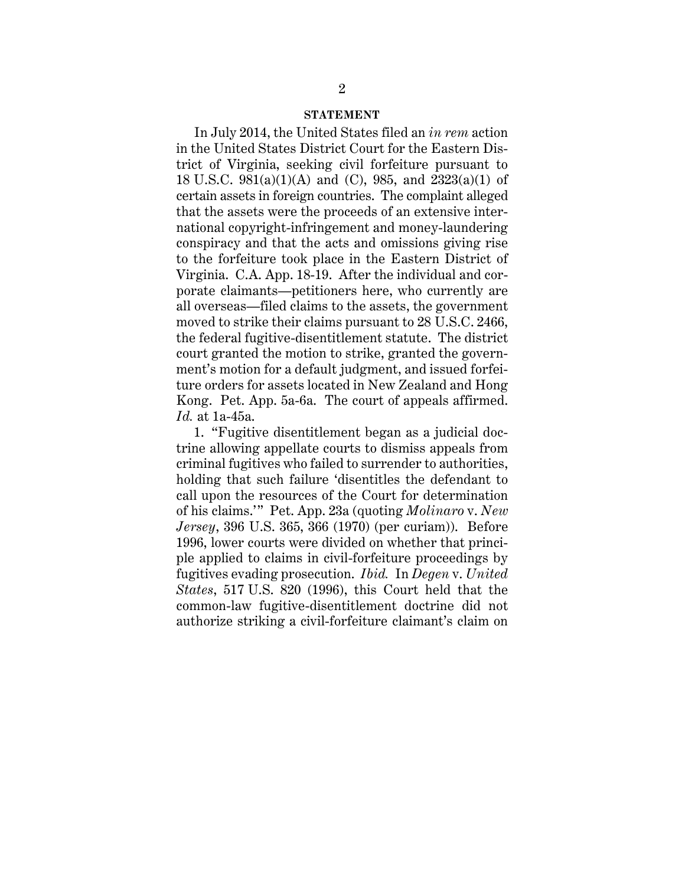#### **STATEMENT**

In July 2014, the United States filed an *in rem* action in the United States District Court for the Eastern District of Virginia, seeking civil forfeiture pursuant to 18 U.S.C. 981(a)(1)(A) and (C), 985, and 2323(a)(1) of certain assets in foreign countries. The complaint alleged that the assets were the proceeds of an extensive international copyright-infringement and money-laundering conspiracy and that the acts and omissions giving rise to the forfeiture took place in the Eastern District of Virginia. C.A. App. 18-19. After the individual and corporate claimants—petitioners here, who currently are all overseas—filed claims to the assets, the government moved to strike their claims pursuant to 28 U.S.C. 2466, the federal fugitive-disentitlement statute. The district court granted the motion to strike, granted the government's motion for a default judgment, and issued forfeiture orders for assets located in New Zealand and Hong Kong. Pet. App. 5a-6a. The court of appeals affirmed. *Id.* at 1a-45a.

1. "Fugitive disentitlement began as a judicial doctrine allowing appellate courts to dismiss appeals from criminal fugitives who failed to surrender to authorities, holding that such failure 'disentitles the defendant to call upon the resources of the Court for determination of his claims.'" Pet. App. 23a (quoting *Molinaro* v. *New Jersey*, 396 U.S. 365, 366 (1970) (per curiam)). Before 1996, lower courts were divided on whether that principle applied to claims in civil-forfeiture proceedings by fugitives evading prosecution. *Ibid.* In *Degen* v. *United States*, 517 U.S. 820 (1996), this Court held that the common-law fugitive-disentitlement doctrine did not authorize striking a civil-forfeiture claimant's claim on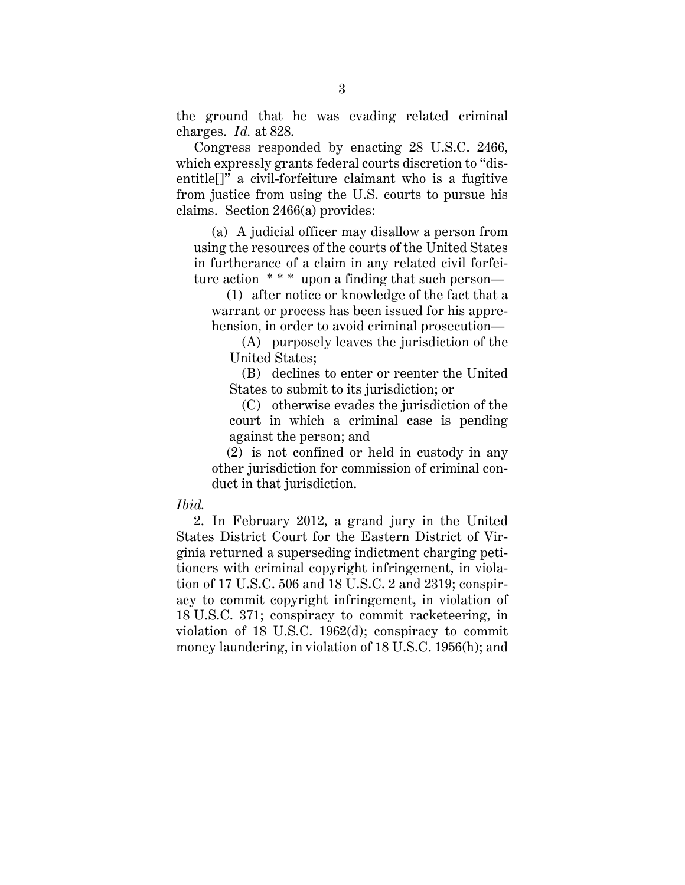the ground that he was evading related criminal charges. *Id.* at 828.

Congress responded by enacting 28 U.S.C. 2466, which expressly grants federal courts discretion to "disentitle[]" a civil-forfeiture claimant who is a fugitive from justice from using the U.S. courts to pursue his claims. Section 2466(a) provides:

(a) A judicial officer may disallow a person from using the resources of the courts of the United States in furtherance of a claim in any related civil forfeiture action  $***$  upon a finding that such person—

(1) after notice or knowledge of the fact that a warrant or process has been issued for his apprehension, in order to avoid criminal prosecution—

(A) purposely leaves the jurisdiction of the United States;

(B) declines to enter or reenter the United States to submit to its jurisdiction; or

(C) otherwise evades the jurisdiction of the court in which a criminal case is pending against the person; and

(2) is not confined or held in custody in any other jurisdiction for commission of criminal conduct in that jurisdiction.

#### *Ibid.*

2. In February 2012, a grand jury in the United States District Court for the Eastern District of Virginia returned a superseding indictment charging petitioners with criminal copyright infringement, in violation of 17 U.S.C. 506 and 18 U.S.C. 2 and 2319; conspiracy to commit copyright infringement, in violation of 18 U.S.C. 371; conspiracy to commit racketeering, in violation of 18 U.S.C. 1962(d); conspiracy to commit money laundering, in violation of 18 U.S.C. 1956(h); and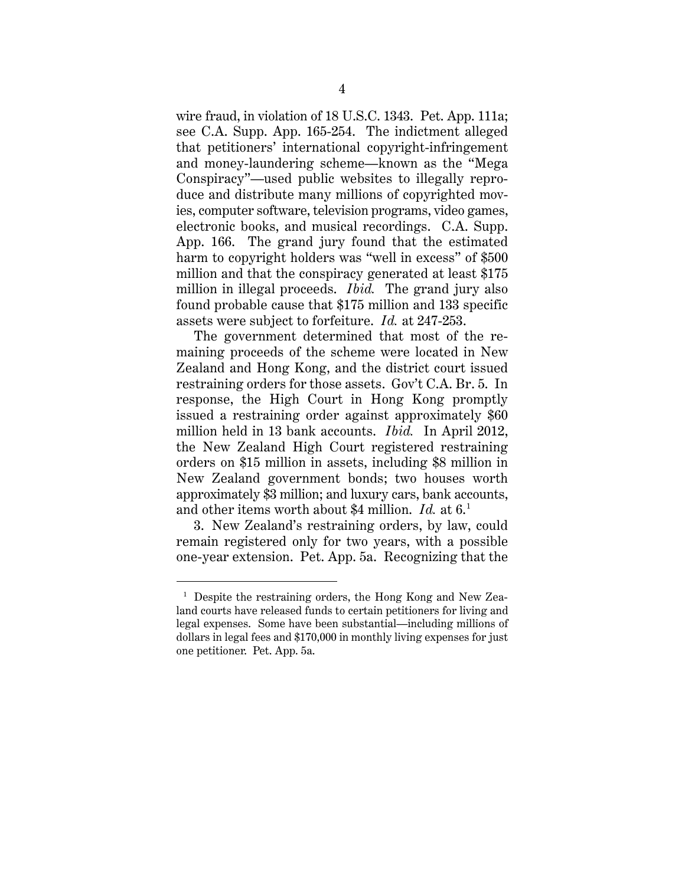wire fraud, in violation of 18 U.S.C. 1343. Pet. App. 111a; see C.A. Supp. App. 165-254. The indictment alleged that petitioners' international copyright-infringement and money-laundering scheme—known as the "Mega Conspiracy"—used public websites to illegally reproduce and distribute many millions of copyrighted movies, computer software, television programs, video games, electronic books, and musical recordings. C.A. Supp. App. 166. The grand jury found that the estimated harm to copyright holders was "well in excess" of \$500 million and that the conspiracy generated at least \$175 million in illegal proceeds. *Ibid.* The grand jury also found probable cause that \$175 million and 133 specific assets were subject to forfeiture. *Id.* at 247-253.

The government determined that most of the remaining proceeds of the scheme were located in New Zealand and Hong Kong, and the district court issued restraining orders for those assets. Gov't C.A. Br. 5. In response, the High Court in Hong Kong promptly issued a restraining order against approximately \$60 million held in 13 bank accounts. *Ibid.* In April 2012, the New Zealand High Court registered restraining orders on \$15 million in assets, including \$8 million in New Zealand government bonds; two houses worth approximately \$3 million; and luxury cars, bank accounts, and other items worth about \$4 million. *Id.* at 6.<sup>1</sup>

3. New Zealand's restraining orders, by law, could remain registered only for two years, with a possible one-year extension. Pet. App. 5a. Recognizing that the

 $\overline{a}$ 

<sup>&</sup>lt;sup>1</sup> Despite the restraining orders, the Hong Kong and New Zealand courts have released funds to certain petitioners for living and legal expenses. Some have been substantial—including millions of dollars in legal fees and \$170,000 in monthly living expenses for just one petitioner. Pet. App. 5a.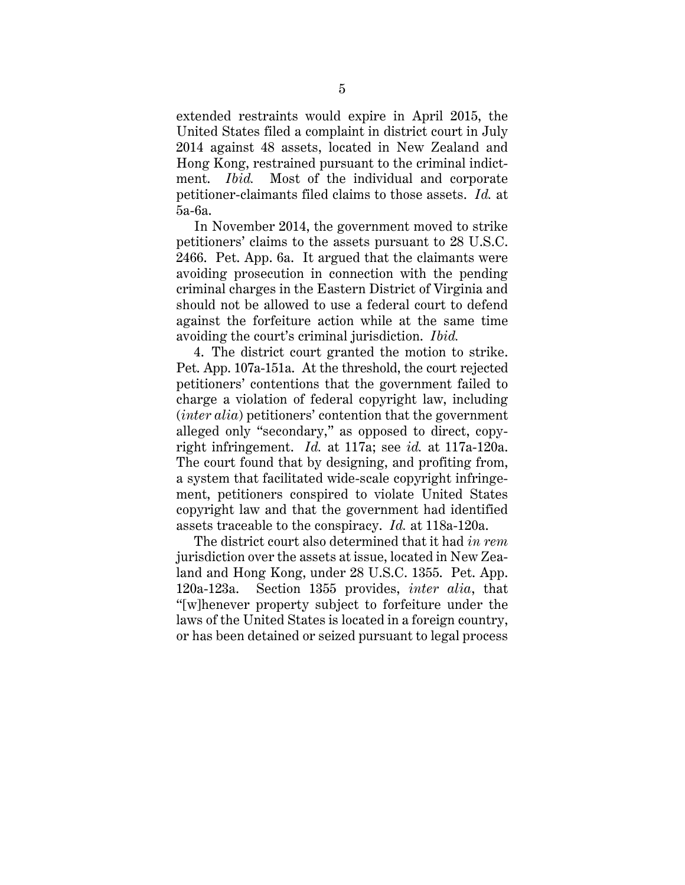extended restraints would expire in April 2015, the United States filed a complaint in district court in July 2014 against 48 assets, located in New Zealand and Hong Kong, restrained pursuant to the criminal indictment. *Ibid.* Most of the individual and corporate petitioner-claimants filed claims to those assets. *Id.* at 5a-6a.

In November 2014, the government moved to strike petitioners' claims to the assets pursuant to 28 U.S.C. 2466. Pet. App. 6a. It argued that the claimants were avoiding prosecution in connection with the pending criminal charges in the Eastern District of Virginia and should not be allowed to use a federal court to defend against the forfeiture action while at the same time avoiding the court's criminal jurisdiction. *Ibid.*

4. The district court granted the motion to strike. Pet. App. 107a-151a. At the threshold, the court rejected petitioners' contentions that the government failed to charge a violation of federal copyright law, including (*inter alia*) petitioners' contention that the government alleged only "secondary," as opposed to direct, copyright infringement. *Id.* at 117a; see *id.* at 117a-120a. The court found that by designing, and profiting from, a system that facilitated wide-scale copyright infringement, petitioners conspired to violate United States copyright law and that the government had identified assets traceable to the conspiracy. *Id.* at 118a-120a.

The district court also determined that it had *in rem* jurisdiction over the assets at issue, located in New Zealand and Hong Kong, under 28 U.S.C. 1355. Pet. App. 120a-123a. Section 1355 provides, *inter alia*, that "[w]henever property subject to forfeiture under the laws of the United States is located in a foreign country, or has been detained or seized pursuant to legal process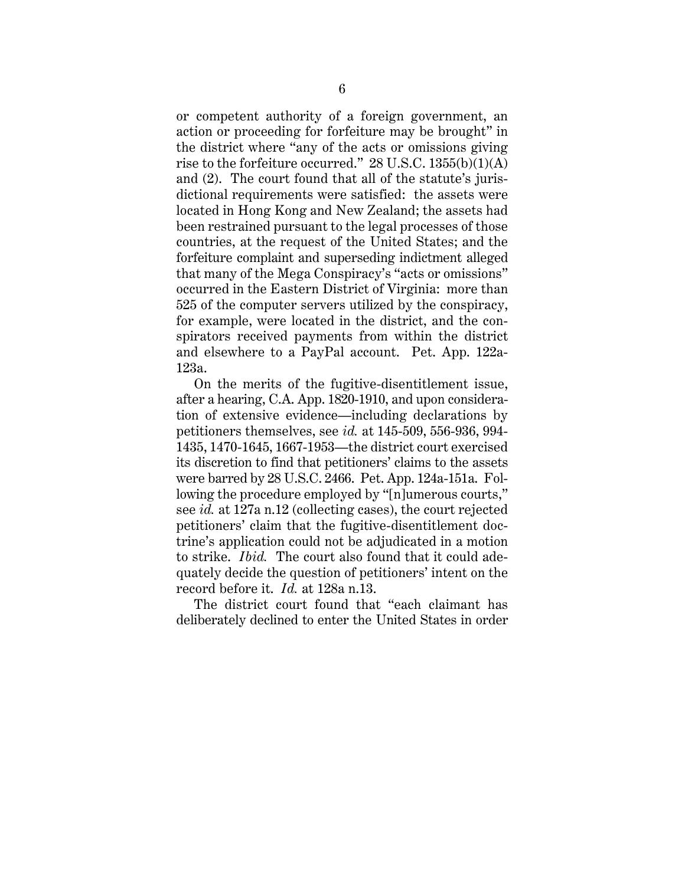or competent authority of a foreign government, an action or proceeding for forfeiture may be brought" in the district where "any of the acts or omissions giving rise to the forfeiture occurred."  $28$  U.S.C.  $1355(b)(1)(A)$ and (2). The court found that all of the statute's jurisdictional requirements were satisfied: the assets were located in Hong Kong and New Zealand; the assets had been restrained pursuant to the legal processes of those countries, at the request of the United States; and the forfeiture complaint and superseding indictment alleged that many of the Mega Conspiracy's "acts or omissions" occurred in the Eastern District of Virginia: more than 525 of the computer servers utilized by the conspiracy, for example, were located in the district, and the conspirators received payments from within the district and elsewhere to a PayPal account. Pet. App. 122a-123a.

On the merits of the fugitive-disentitlement issue, after a hearing, C.A. App. 1820-1910, and upon consideration of extensive evidence—including declarations by petitioners themselves, see *id.* at 145-509, 556-936, 994- 1435, 1470-1645, 1667-1953—the district court exercised its discretion to find that petitioners' claims to the assets were barred by 28 U.S.C. 2466. Pet. App. 124a-151a. Following the procedure employed by "[n]umerous courts," see *id.* at 127a n.12 (collecting cases), the court rejected petitioners' claim that the fugitive-disentitlement doctrine's application could not be adjudicated in a motion to strike. *Ibid.* The court also found that it could adequately decide the question of petitioners' intent on the record before it. *Id.* at 128a n.13.

The district court found that "each claimant has deliberately declined to enter the United States in order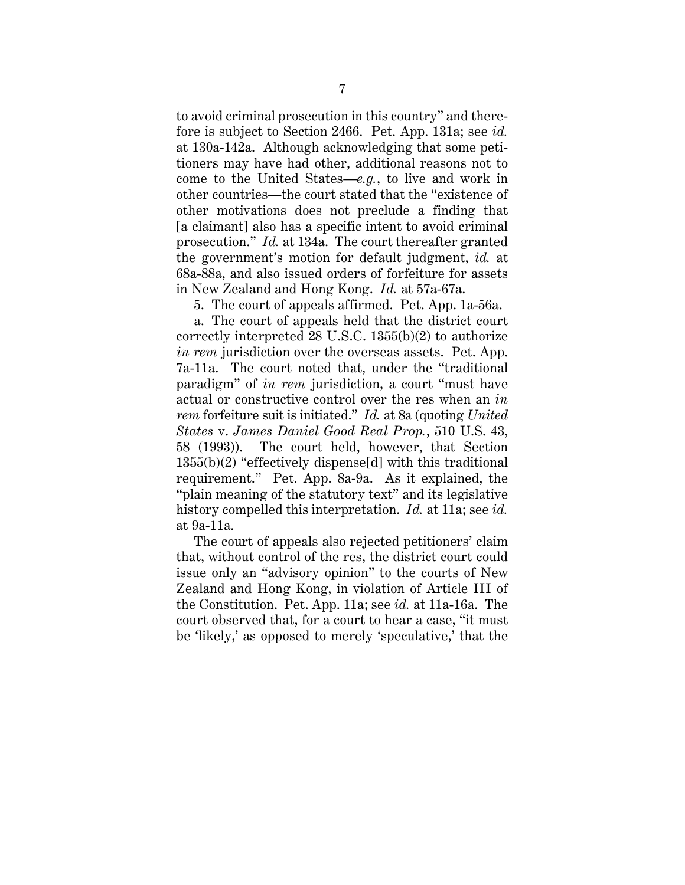to avoid criminal prosecution in this country" and therefore is subject to Section 2466. Pet. App. 131a; see *id.* at 130a-142a. Although acknowledging that some petitioners may have had other, additional reasons not to come to the United States—*e.g.*, to live and work in other countries—the court stated that the "existence of other motivations does not preclude a finding that [a claimant] also has a specific intent to avoid criminal prosecution." *Id.* at 134a. The court thereafter granted the government's motion for default judgment, *id.* at 68a-88a, and also issued orders of forfeiture for assets in New Zealand and Hong Kong. *Id.* at 57a-67a.

5. The court of appeals affirmed. Pet. App. 1a-56a.

a. The court of appeals held that the district court correctly interpreted 28 U.S.C. 1355(b)(2) to authorize *in rem* jurisdiction over the overseas assets. Pet. App. 7a-11a. The court noted that, under the "traditional paradigm" of *in rem* jurisdiction, a court "must have actual or constructive control over the res when an *in rem* forfeiture suit is initiated." *Id.* at 8a (quoting *United States* v. *James Daniel Good Real Prop.*, 510 U.S. 43, 58 (1993)). The court held, however, that Section 1355(b)(2) "effectively dispense[d] with this traditional requirement." Pet. App. 8a-9a. As it explained, the "plain meaning of the statutory text" and its legislative history compelled this interpretation. *Id.* at 11a; see *id.* at 9a-11a.

The court of appeals also rejected petitioners' claim that, without control of the res, the district court could issue only an "advisory opinion" to the courts of New Zealand and Hong Kong, in violation of Article III of the Constitution. Pet. App. 11a; see *id.* at 11a-16a. The court observed that, for a court to hear a case, "it must be 'likely,' as opposed to merely 'speculative,' that the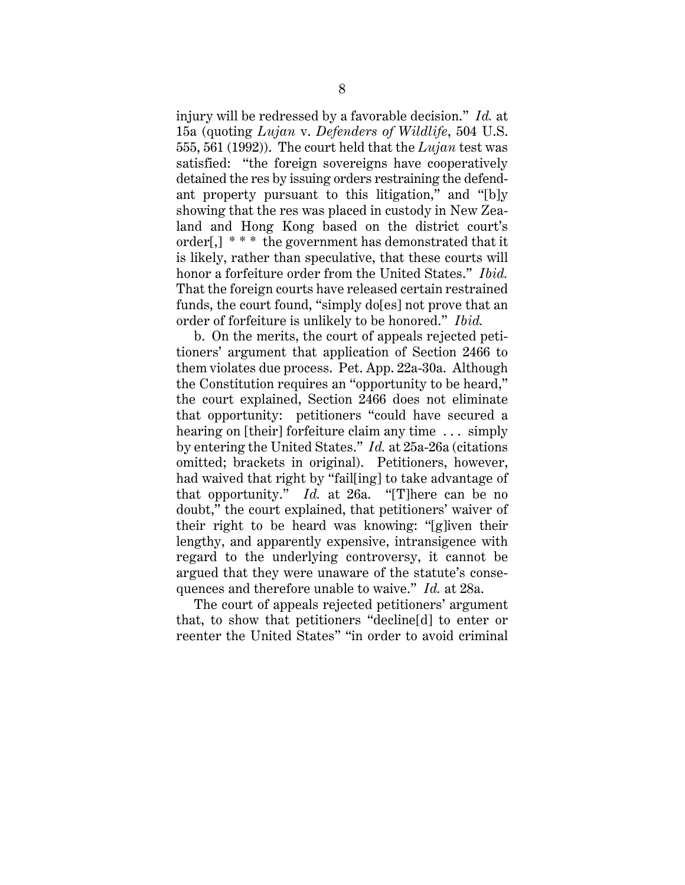injury will be redressed by a favorable decision." *Id.* at 15a (quoting *Lujan* v. *Defenders of Wildlife*, 504 U.S. 555, 561 (1992)). The court held that the *Lujan* test was satisfied: "the foreign sovereigns have cooperatively detained the res by issuing orders restraining the defendant property pursuant to this litigation," and "[b]y showing that the res was placed in custody in New Zealand and Hong Kong based on the district court's order[,] \* \* \* the government has demonstrated that it is likely, rather than speculative, that these courts will honor a forfeiture order from the United States." *Ibid.*  That the foreign courts have released certain restrained funds, the court found, "simply do[es] not prove that an order of forfeiture is unlikely to be honored." *Ibid.*

b. On the merits, the court of appeals rejected petitioners' argument that application of Section 2466 to them violates due process. Pet. App. 22a-30a. Although the Constitution requires an "opportunity to be heard," the court explained, Section 2466 does not eliminate that opportunity: petitioners "could have secured a hearing on [their] forfeiture claim any time ... simply by entering the United States." *Id.* at 25a-26a (citations omitted; brackets in original). Petitioners, however, had waived that right by "fail[ing] to take advantage of that opportunity." *Id.* at 26a. "[T]here can be no doubt," the court explained, that petitioners' waiver of their right to be heard was knowing: "[g]iven their lengthy, and apparently expensive, intransigence with regard to the underlying controversy, it cannot be argued that they were unaware of the statute's consequences and therefore unable to waive." *Id.* at 28a.

The court of appeals rejected petitioners' argument that, to show that petitioners "decline[d] to enter or reenter the United States" "in order to avoid criminal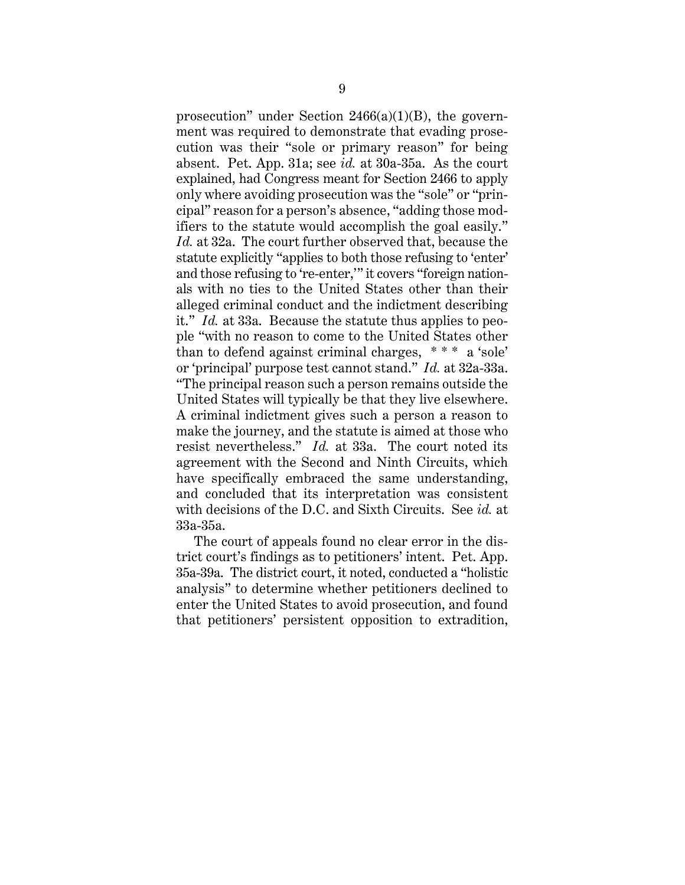prosecution" under Section  $2466(a)(1)(B)$ , the government was required to demonstrate that evading prosecution was their "sole or primary reason" for being absent. Pet. App. 31a; see *id.* at 30a-35a. As the court explained, had Congress meant for Section 2466 to apply only where avoiding prosecution was the "sole" or "principal" reason for a person's absence, "adding those modifiers to the statute would accomplish the goal easily." *Id.* at 32a. The court further observed that, because the statute explicitly "applies to both those refusing to 'enter' and those refusing to 're-enter,'" it covers "foreign nationals with no ties to the United States other than their alleged criminal conduct and the indictment describing it." *Id.* at 33a. Because the statute thus applies to people "with no reason to come to the United States other than to defend against criminal charges, \* \* \* a 'sole' or 'principal' purpose test cannot stand." *Id.* at 32a-33a. "The principal reason such a person remains outside the United States will typically be that they live elsewhere. A criminal indictment gives such a person a reason to make the journey, and the statute is aimed at those who resist nevertheless." *Id.* at 33a. The court noted its agreement with the Second and Ninth Circuits, which have specifically embraced the same understanding, and concluded that its interpretation was consistent with decisions of the D.C. and Sixth Circuits. See *id.* at 33a-35a.

The court of appeals found no clear error in the district court's findings as to petitioners' intent. Pet. App. 35a-39a. The district court, it noted, conducted a "holistic analysis" to determine whether petitioners declined to enter the United States to avoid prosecution, and found that petitioners' persistent opposition to extradition,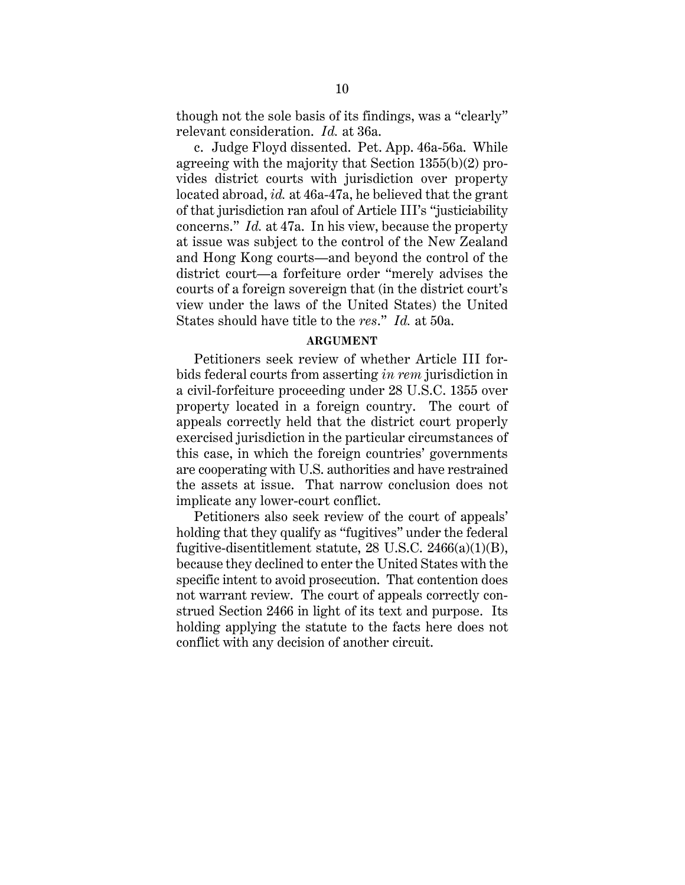though not the sole basis of its findings, was a "clearly" relevant consideration. *Id.* at 36a.

c. Judge Floyd dissented. Pet. App. 46a-56a. While agreeing with the majority that Section 1355(b)(2) provides district courts with jurisdiction over property located abroad, *id.* at 46a-47a, he believed that the grant of that jurisdiction ran afoul of Article III's "justiciability concerns." *Id.* at 47a. In his view, because the property at issue was subject to the control of the New Zealand and Hong Kong courts—and beyond the control of the district court—a forfeiture order "merely advises the courts of a foreign sovereign that (in the district court's view under the laws of the United States) the United States should have title to the *res*." *Id.* at 50a.

#### **ARGUMENT**

Petitioners seek review of whether Article III forbids federal courts from asserting *in rem* jurisdiction in a civil-forfeiture proceeding under 28 U.S.C. 1355 over property located in a foreign country. The court of appeals correctly held that the district court properly exercised jurisdiction in the particular circumstances of this case, in which the foreign countries' governments are cooperating with U.S. authorities and have restrained the assets at issue. That narrow conclusion does not implicate any lower-court conflict.

Petitioners also seek review of the court of appeals' holding that they qualify as "fugitives" under the federal fugitive-disentitlement statute,  $28$  U.S.C.  $2466(a)(1)(B)$ , because they declined to enter the United States with the specific intent to avoid prosecution. That contention does not warrant review. The court of appeals correctly construed Section 2466 in light of its text and purpose. Its holding applying the statute to the facts here does not conflict with any decision of another circuit.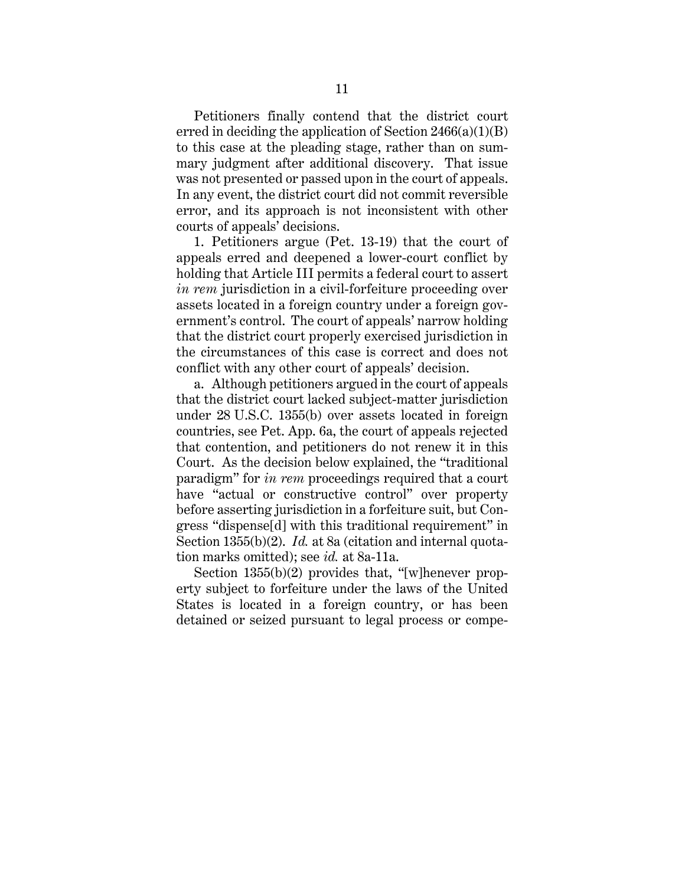Petitioners finally contend that the district court erred in deciding the application of Section  $2466(a)(1)(B)$ to this case at the pleading stage, rather than on summary judgment after additional discovery. That issue was not presented or passed upon in the court of appeals. In any event, the district court did not commit reversible error, and its approach is not inconsistent with other courts of appeals' decisions.

1. Petitioners argue (Pet. 13-19) that the court of appeals erred and deepened a lower-court conflict by holding that Article III permits a federal court to assert *in rem* jurisdiction in a civil-forfeiture proceeding over assets located in a foreign country under a foreign government's control. The court of appeals' narrow holding that the district court properly exercised jurisdiction in the circumstances of this case is correct and does not conflict with any other court of appeals' decision.

a. Although petitioners argued in the court of appeals that the district court lacked subject-matter jurisdiction under 28 U.S.C. 1355(b) over assets located in foreign countries, see Pet. App. 6a, the court of appeals rejected that contention, and petitioners do not renew it in this Court. As the decision below explained, the "traditional paradigm" for *in rem* proceedings required that a court have "actual or constructive control" over property before asserting jurisdiction in a forfeiture suit, but Congress "dispense[d] with this traditional requirement" in Section 1355(b)(2). *Id.* at 8a (citation and internal quotation marks omitted); see *id.* at 8a-11a.

Section 1355(b)(2) provides that, "[w]henever property subject to forfeiture under the laws of the United States is located in a foreign country, or has been detained or seized pursuant to legal process or compe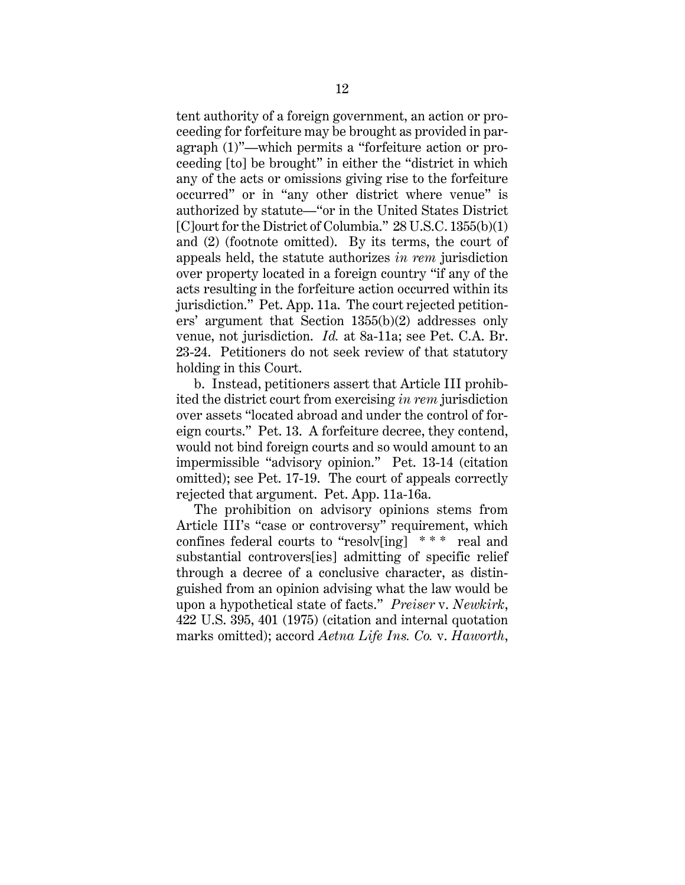tent authority of a foreign government, an action or proceeding for forfeiture may be brought as provided in paragraph (1)"—which permits a "forfeiture action or proceeding [to] be brought" in either the "district in which any of the acts or omissions giving rise to the forfeiture occurred" or in "any other district where venue" is authorized by statute—"or in the United States District [C]ourt for the District of Columbia." 28 U.S.C. 1355(b)(1) and (2) (footnote omitted). By its terms, the court of appeals held, the statute authorizes *in rem* jurisdiction over property located in a foreign country "if any of the acts resulting in the forfeiture action occurred within its jurisdiction." Pet. App. 11a. The court rejected petitioners' argument that Section 1355(b)(2) addresses only venue, not jurisdiction. *Id.* at 8a-11a; see Pet. C.A. Br. 23-24. Petitioners do not seek review of that statutory holding in this Court.

b. Instead, petitioners assert that Article III prohibited the district court from exercising *in rem* jurisdiction over assets "located abroad and under the control of foreign courts." Pet. 13. A forfeiture decree, they contend, would not bind foreign courts and so would amount to an impermissible "advisory opinion." Pet. 13-14 (citation omitted); see Pet. 17-19. The court of appeals correctly rejected that argument. Pet. App. 11a-16a.

The prohibition on advisory opinions stems from Article III's "case or controversy" requirement, which confines federal courts to "resolv[ing] \* \* \* real and substantial controvers[ies] admitting of specific relief through a decree of a conclusive character, as distinguished from an opinion advising what the law would be upon a hypothetical state of facts." *Preiser* v. *Newkirk*, 422 U.S. 395, 401 (1975) (citation and internal quotation marks omitted); accord *Aetna Life Ins. Co.* v. *Haworth*,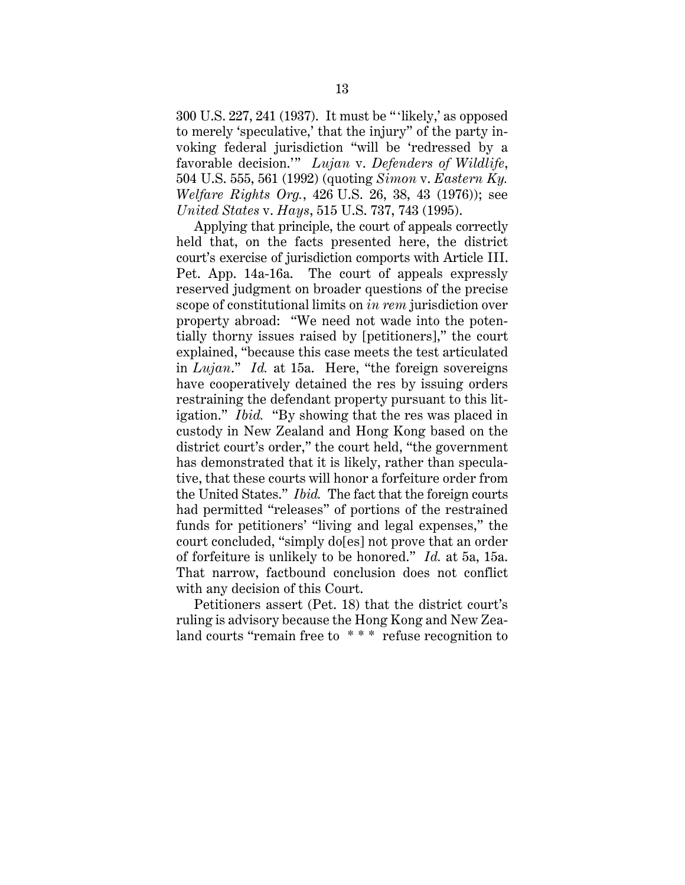300 U.S. 227, 241 (1937). It must be "'likely,' as opposed to merely 'speculative,' that the injury" of the party invoking federal jurisdiction "will be 'redressed by a favorable decision.'" *Lujan* v. *Defenders of Wildlife*, 504 U.S. 555, 561 (1992) (quoting *Simon* v. *Eastern Ky. Welfare Rights Org.*, 426 U.S. 26, 38, 43 (1976)); see *United States* v. *Hays*, 515 U.S. 737, 743 (1995).

Applying that principle, the court of appeals correctly held that, on the facts presented here, the district court's exercise of jurisdiction comports with Article III. Pet. App. 14a-16a. The court of appeals expressly reserved judgment on broader questions of the precise scope of constitutional limits on *in rem* jurisdiction over property abroad: "We need not wade into the potentially thorny issues raised by [petitioners]," the court explained, "because this case meets the test articulated in *Lujan*." *Id.* at 15a. Here, "the foreign sovereigns have cooperatively detained the res by issuing orders restraining the defendant property pursuant to this litigation." *Ibid.* "By showing that the res was placed in custody in New Zealand and Hong Kong based on the district court's order," the court held, "the government has demonstrated that it is likely, rather than speculative, that these courts will honor a forfeiture order from the United States." *Ibid.* The fact that the foreign courts had permitted "releases" of portions of the restrained funds for petitioners' "living and legal expenses," the court concluded, "simply do[es] not prove that an order of forfeiture is unlikely to be honored." *Id.* at 5a, 15a. That narrow, factbound conclusion does not conflict with any decision of this Court.

Petitioners assert (Pet. 18) that the district court's ruling is advisory because the Hong Kong and New Zealand courts "remain free to \* \* \* refuse recognition to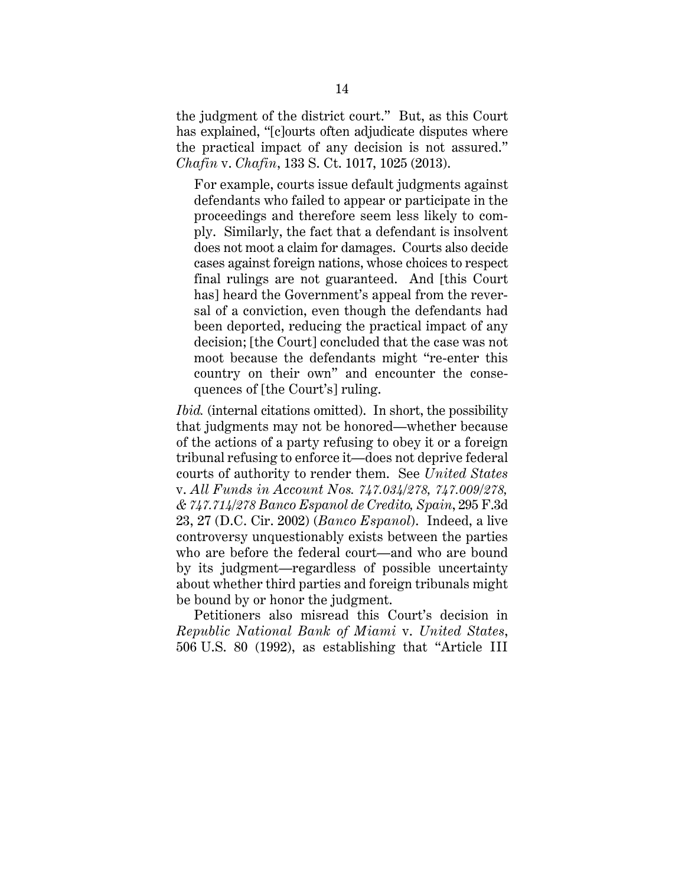the judgment of the district court." But, as this Court has explained, "[c]ourts often adjudicate disputes where the practical impact of any decision is not assured." *Chafin* v. *Chafin*, 133 S. Ct. 1017, 1025 (2013).

For example, courts issue default judgments against defendants who failed to appear or participate in the proceedings and therefore seem less likely to comply. Similarly, the fact that a defendant is insolvent does not moot a claim for damages. Courts also decide cases against foreign nations, whose choices to respect final rulings are not guaranteed. And [this Court has] heard the Government's appeal from the reversal of a conviction, even though the defendants had been deported, reducing the practical impact of any decision; [the Court] concluded that the case was not moot because the defendants might "re-enter this country on their own" and encounter the consequences of [the Court's] ruling.

*Ibid.* (internal citations omitted). In short, the possibility that judgments may not be honored—whether because of the actions of a party refusing to obey it or a foreign tribunal refusing to enforce it—does not deprive federal courts of authority to render them. See *United States*  v. *All Funds in Account Nos. 747.034/278, 747.009/278, & 747.714/278 Banco Espanol de Credito, Spain*, 295 F.3d 23, 27 (D.C. Cir. 2002) (*Banco Espanol*). Indeed, a live controversy unquestionably exists between the parties who are before the federal court—and who are bound by its judgment—regardless of possible uncertainty about whether third parties and foreign tribunals might be bound by or honor the judgment.

Petitioners also misread this Court's decision in *Republic National Bank of Miami* v. *United States*, 506 U.S. 80 (1992), as establishing that "Article III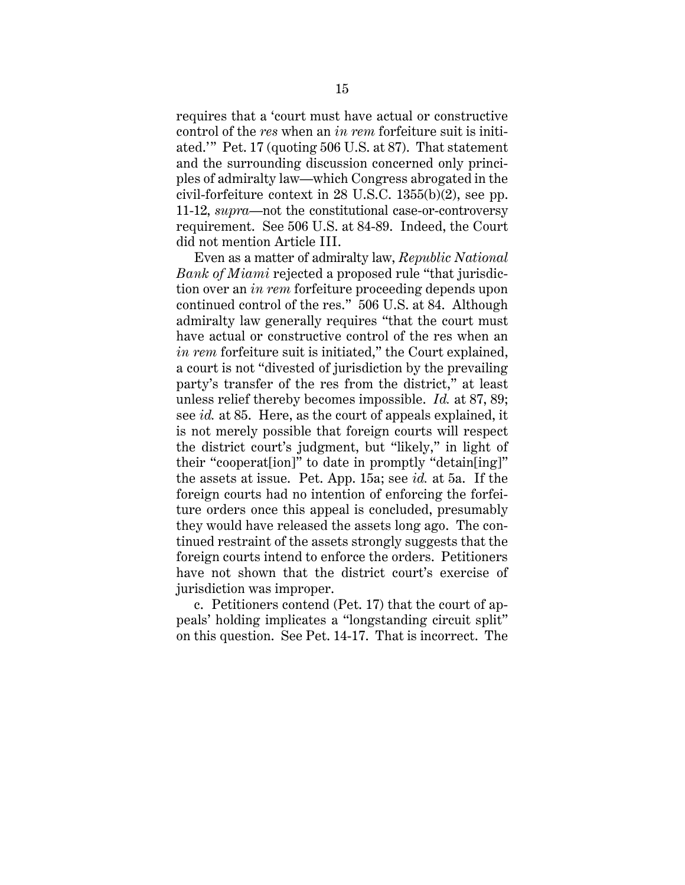requires that a 'court must have actual or constructive control of the *res* when an *in rem* forfeiture suit is initiated.'" Pet. 17 (quoting 506 U.S. at 87). That statement and the surrounding discussion concerned only principles of admiralty law—which Congress abrogated in the civil-forfeiture context in 28 U.S.C. 1355(b)(2), see pp. 11-12, *supra*—not the constitutional case-or-controversy requirement. See 506 U.S. at 84-89. Indeed, the Court did not mention Article III.

Even as a matter of admiralty law, *Republic National Bank of Miami* rejected a proposed rule "that jurisdiction over an *in rem* forfeiture proceeding depends upon continued control of the res." 506 U.S. at 84. Although admiralty law generally requires "that the court must have actual or constructive control of the res when an *in rem* forfeiture suit is initiated," the Court explained, a court is not "divested of jurisdiction by the prevailing party's transfer of the res from the district," at least unless relief thereby becomes impossible. *Id.* at 87, 89; see *id.* at 85. Here, as the court of appeals explained, it is not merely possible that foreign courts will respect the district court's judgment, but "likely," in light of their "cooperat[ion]" to date in promptly "detain[ing]" the assets at issue. Pet. App. 15a; see *id.* at 5a. If the foreign courts had no intention of enforcing the forfeiture orders once this appeal is concluded, presumably they would have released the assets long ago. The continued restraint of the assets strongly suggests that the foreign courts intend to enforce the orders. Petitioners have not shown that the district court's exercise of jurisdiction was improper.

c. Petitioners contend (Pet. 17) that the court of appeals' holding implicates a "longstanding circuit split" on this question. See Pet. 14-17. That is incorrect. The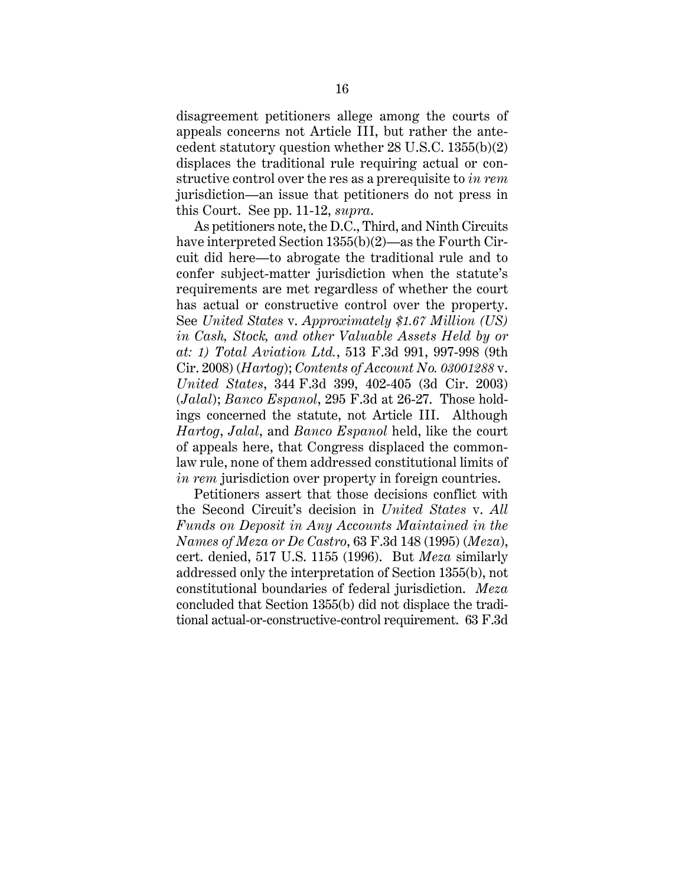disagreement petitioners allege among the courts of appeals concerns not Article III, but rather the antecedent statutory question whether 28 U.S.C. 1355(b)(2) displaces the traditional rule requiring actual or constructive control over the res as a prerequisite to *in rem*  jurisdiction—an issue that petitioners do not press in this Court. See pp. 11-12, *supra*.

As petitioners note, the D.C., Third, and Ninth Circuits have interpreted Section 1355(b)(2)—as the Fourth Circuit did here—to abrogate the traditional rule and to confer subject-matter jurisdiction when the statute's requirements are met regardless of whether the court has actual or constructive control over the property. See *United States* v. *Approximately \$1.67 Million (US) in Cash, Stock, and other Valuable Assets Held by or at: 1) Total Aviation Ltd.*, 513 F.3d 991, 997-998 (9th Cir. 2008) (*Hartog*); *Contents of Account No. 03001288* v. *United States*, 344 F.3d 399, 402-405 (3d Cir. 2003) (*Jalal*); *Banco Espanol*, 295 F.3d at 26-27. Those holdings concerned the statute, not Article III. Although *Hartog*, *Jalal*, and *Banco Espanol* held, like the court of appeals here, that Congress displaced the commonlaw rule, none of them addressed constitutional limits of *in rem* jurisdiction over property in foreign countries.

Petitioners assert that those decisions conflict with the Second Circuit's decision in *United States* v. *All Funds on Deposit in Any Accounts Maintained in the Names of Meza or De Castro*, 63 F.3d 148 (1995) (*Meza*), cert. denied, 517 U.S. 1155 (1996). But *Meza* similarly addressed only the interpretation of Section 1355(b), not constitutional boundaries of federal jurisdiction. *Meza*  concluded that Section 1355(b) did not displace the traditional actual-or-constructive-control requirement. 63 F.3d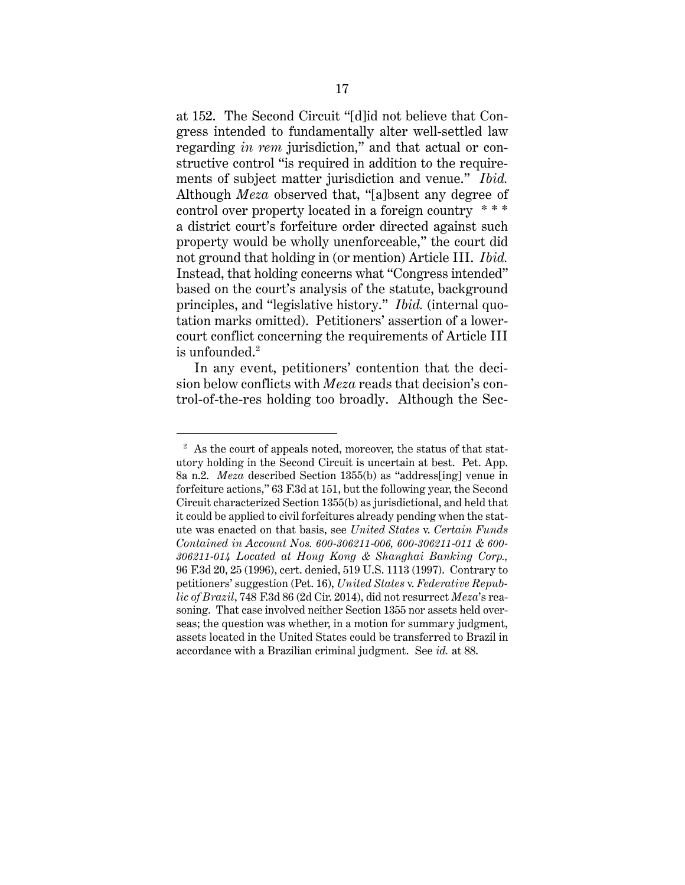at 152. The Second Circuit "[d]id not believe that Congress intended to fundamentally alter well-settled law regarding *in rem* jurisdiction," and that actual or constructive control "is required in addition to the requirements of subject matter jurisdiction and venue." *Ibid.* Although *Meza* observed that, "[a]bsent any degree of control over property located in a foreign country \* \* \* a district court's forfeiture order directed against such property would be wholly unenforceable," the court did not ground that holding in (or mention) Article III. *Ibid.* Instead, that holding concerns what "Congress intended" based on the court's analysis of the statute, background principles, and "legislative history." *Ibid.* (internal quotation marks omitted). Petitioners' assertion of a lowercourt conflict concerning the requirements of Article III is unfounded.<sup>2</sup>

In any event, petitioners' contention that the decision below conflicts with *Meza* reads that decision's control-of-the-res holding too broadly. Although the Sec-

 $\overline{a}$ 

<sup>&</sup>lt;sup>2</sup> As the court of appeals noted, moreover, the status of that statutory holding in the Second Circuit is uncertain at best. Pet. App. 8a n.2. *Meza* described Section 1355(b) as "address[ing] venue in forfeiture actions," 63 F.3d at 151, but the following year, the Second Circuit characterized Section 1355(b) as jurisdictional, and held that it could be applied to civil forfeitures already pending when the statute was enacted on that basis, see *United States* v. *Certain Funds Contained in Account Nos. 600-306211-006, 600-306211-011 & 600- 306211-014 Located at Hong Kong & Shanghai Banking Corp.,* 96 F.3d 20, 25 (1996), cert. denied, 519 U.S. 1113 (1997). Contrary to petitioners' suggestion (Pet. 16), *United States* v. *Federative Republic of Brazil*, 748 F.3d 86 (2d Cir. 2014), did not resurrect *Meza*'s reasoning. That case involved neither Section 1355 nor assets held overseas; the question was whether, in a motion for summary judgment, assets located in the United States could be transferred to Brazil in accordance with a Brazilian criminal judgment. See *id.* at 88.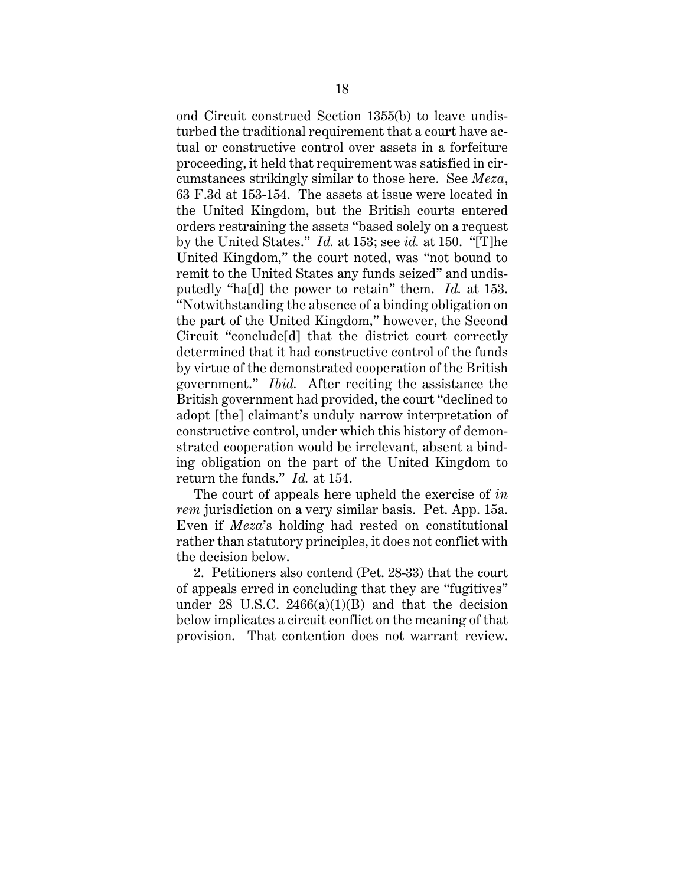ond Circuit construed Section 1355(b) to leave undisturbed the traditional requirement that a court have actual or constructive control over assets in a forfeiture proceeding, it held that requirement was satisfied in circumstances strikingly similar to those here. See *Meza*, 63 F.3d at 153-154. The assets at issue were located in the United Kingdom, but the British courts entered orders restraining the assets "based solely on a request by the United States." *Id.* at 153; see *id.* at 150. "[T]he United Kingdom," the court noted, was "not bound to remit to the United States any funds seized" and undisputedly "ha[d] the power to retain" them. *Id.* at 153. "Notwithstanding the absence of a binding obligation on the part of the United Kingdom," however, the Second Circuit "conclude[d] that the district court correctly determined that it had constructive control of the funds by virtue of the demonstrated cooperation of the British government." *Ibid.* After reciting the assistance the British government had provided, the court "declined to adopt [the] claimant's unduly narrow interpretation of constructive control, under which this history of demonstrated cooperation would be irrelevant, absent a binding obligation on the part of the United Kingdom to return the funds." *Id.* at 154.

The court of appeals here upheld the exercise of *in rem* jurisdiction on a very similar basis. Pet. App. 15a. Even if *Meza*'s holding had rested on constitutional rather than statutory principles, it does not conflict with the decision below.

2. Petitioners also contend (Pet. 28-33) that the court of appeals erred in concluding that they are "fugitives" under 28 U.S.C.  $2466(a)(1)(B)$  and that the decision below implicates a circuit conflict on the meaning of that provision. That contention does not warrant review.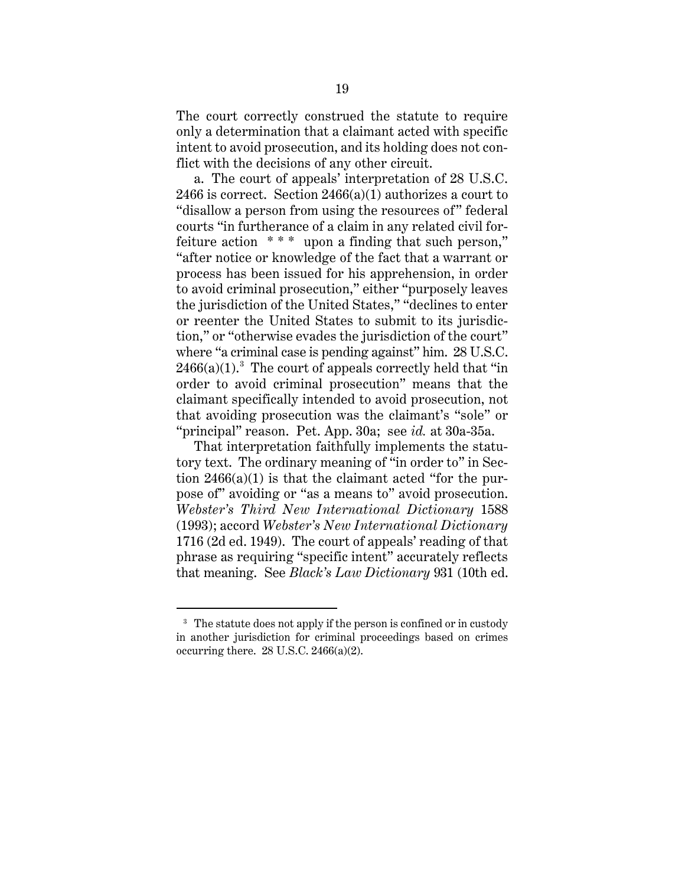The court correctly construed the statute to require only a determination that a claimant acted with specific intent to avoid prosecution, and its holding does not conflict with the decisions of any other circuit.

a. The court of appeals' interpretation of 28 U.S.C. 2466 is correct. Section  $2466(a)(1)$  authorizes a court to "disallow a person from using the resources of" federal courts "in furtherance of a claim in any related civil forfeiture action  $***$  upon a finding that such person," "after notice or knowledge of the fact that a warrant or process has been issued for his apprehension, in order to avoid criminal prosecution," either "purposely leaves the jurisdiction of the United States," "declines to enter or reenter the United States to submit to its jurisdiction," or "otherwise evades the jurisdiction of the court" where "a criminal case is pending against" him. 28 U.S.C.  $2466(a)(1).<sup>3</sup>$  The court of appeals correctly held that "in order to avoid criminal prosecution" means that the claimant specifically intended to avoid prosecution, not that avoiding prosecution was the claimant's "sole" or "principal" reason. Pet. App. 30a; see *id.* at 30a-35a.

That interpretation faithfully implements the statutory text. The ordinary meaning of "in order to" in Section  $2466(a)(1)$  is that the claimant acted "for the purpose of" avoiding or "as a means to" avoid prosecution. *Webster's Third New International Dictionary* 1588 (1993); accord *Webster's New International Dictionary*  1716 (2d ed. 1949). The court of appeals' reading of that phrase as requiring "specific intent" accurately reflects that meaning. See *Black's Law Dictionary* 931 (10th ed.

 $\overline{a}$ 

<sup>&</sup>lt;sup>3</sup> The statute does not apply if the person is confined or in custody in another jurisdiction for criminal proceedings based on crimes occurring there. 28 U.S.C. 2466(a)(2).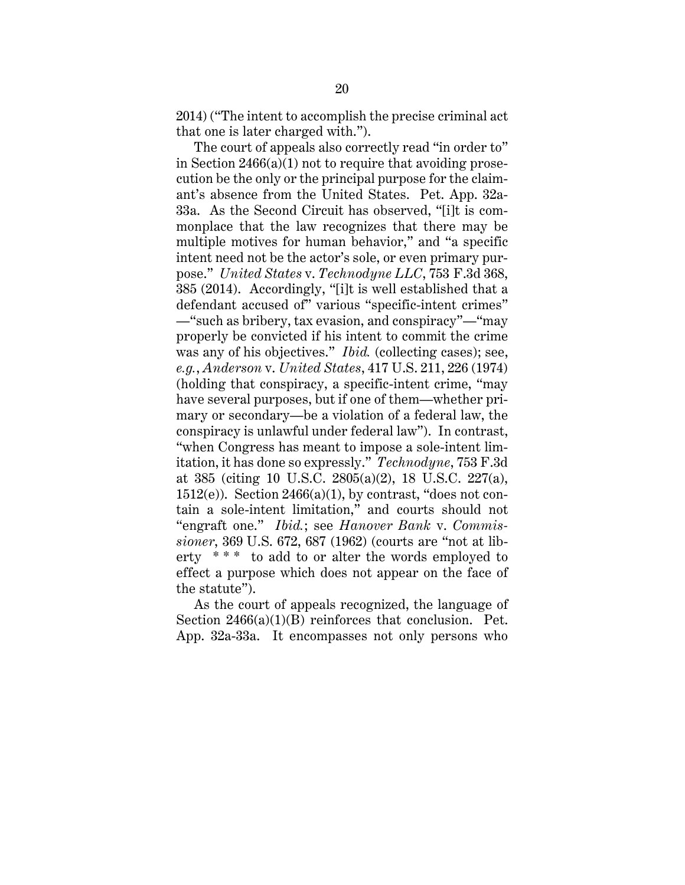2014) ("The intent to accomplish the precise criminal act that one is later charged with.").

The court of appeals also correctly read "in order to" in Section 2466(a)(1) not to require that avoiding prosecution be the only or the principal purpose for the claimant's absence from the United States. Pet. App. 32a-33a. As the Second Circuit has observed, "[i]t is commonplace that the law recognizes that there may be multiple motives for human behavior," and "a specific intent need not be the actor's sole, or even primary purpose." *United States* v. *Technodyne LLC*, 753 F.3d 368, 385 (2014). Accordingly, "[i]t is well established that a defendant accused of" various "specific-intent crimes" —"such as bribery, tax evasion, and conspiracy"—"may properly be convicted if his intent to commit the crime was any of his objectives." *Ibid.* (collecting cases); see, *e.g.*, *Anderson* v. *United States*, 417 U.S. 211, 226 (1974) (holding that conspiracy, a specific-intent crime, "may have several purposes, but if one of them—whether primary or secondary—be a violation of a federal law, the conspiracy is unlawful under federal law"). In contrast, "when Congress has meant to impose a sole-intent limitation, it has done so expressly." *Technodyne*, 753 F.3d at 385 (citing 10 U.S.C. 2805(a)(2), 18 U.S.C. 227(a), 1512(e)). Section  $2466(a)(1)$ , by contrast, "does not contain a sole-intent limitation," and courts should not "engraft one." *Ibid.*; see *Hanover Bank* v. *Commissioner*, 369 U.S. 672, 687 (1962) (courts are "not at liberty  $***$  to add to or alter the words employed to effect a purpose which does not appear on the face of the statute").

As the court of appeals recognized, the language of Section 2466(a)(1)(B) reinforces that conclusion. Pet. App. 32a-33a. It encompasses not only persons who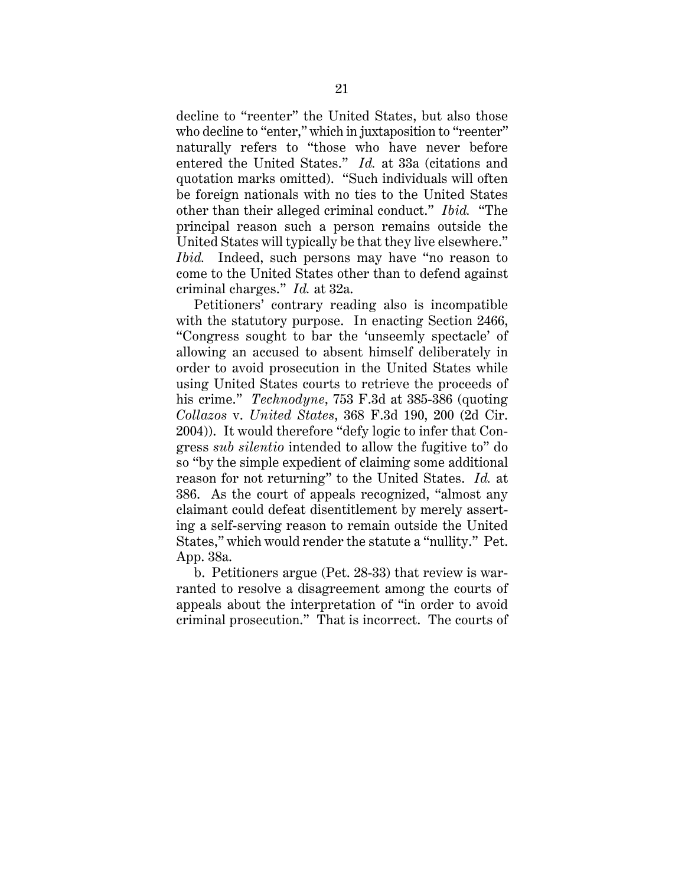decline to "reenter" the United States, but also those who decline to "enter," which in juxtaposition to "reenter" naturally refers to "those who have never before entered the United States." *Id.* at 33a (citations and quotation marks omitted). "Such individuals will often be foreign nationals with no ties to the United States other than their alleged criminal conduct." *Ibid.* "The principal reason such a person remains outside the United States will typically be that they live elsewhere." *Ibid.* Indeed, such persons may have "no reason to come to the United States other than to defend against criminal charges." *Id.* at 32a.

Petitioners' contrary reading also is incompatible with the statutory purpose. In enacting Section 2466, "Congress sought to bar the 'unseemly spectacle' of allowing an accused to absent himself deliberately in order to avoid prosecution in the United States while using United States courts to retrieve the proceeds of his crime." *Technodyne*, 753 F.3d at 385-386 (quoting *Collazos* v. *United States*, 368 F.3d 190, 200 (2d Cir. 2004)). It would therefore "defy logic to infer that Congress *sub silentio* intended to allow the fugitive to" do so "by the simple expedient of claiming some additional reason for not returning" to the United States. *Id.* at 386. As the court of appeals recognized, "almost any claimant could defeat disentitlement by merely asserting a self-serving reason to remain outside the United States," which would render the statute a "nullity." Pet. App. 38a.

b. Petitioners argue (Pet. 28-33) that review is warranted to resolve a disagreement among the courts of appeals about the interpretation of "in order to avoid criminal prosecution." That is incorrect. The courts of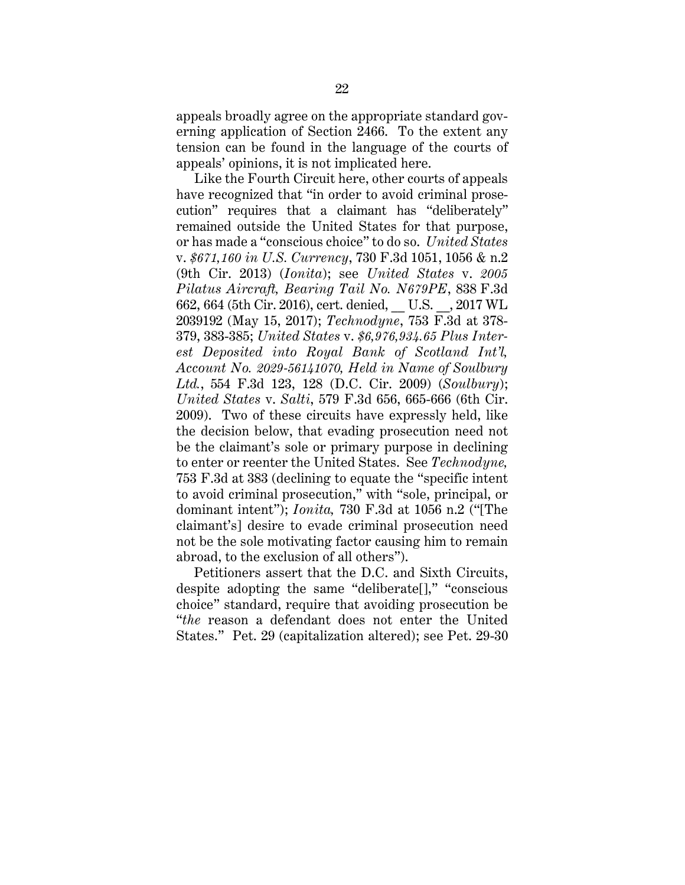appeals broadly agree on the appropriate standard governing application of Section 2466. To the extent any tension can be found in the language of the courts of appeals' opinions, it is not implicated here.

Like the Fourth Circuit here, other courts of appeals have recognized that "in order to avoid criminal prosecution" requires that a claimant has "deliberately" remained outside the United States for that purpose, or has made a "conscious choice" to do so. *United States*  v. *\$671,160 in U.S. Currency*, 730 F.3d 1051, 1056 & n.2 (9th Cir. 2013) (*Ionita*); see *United States* v. *2005 Pilatus Aircraft, Bearing Tail No. N679PE*, 838 F.3d 662, 664 (5th Cir. 2016), cert. denied, \_\_ U.S. \_\_, 2017 WL 2039192 (May 15, 2017); *Technodyne*, 753 F.3d at 378- 379, 383-385; *United States* v. *\$6,976,934.65 Plus Interest Deposited into Royal Bank of Scotland Int'l, Account No. 2029-56141070, Held in Name of Soulbury Ltd.*, 554 F.3d 123, 128 (D.C. Cir. 2009) (*Soulbury*); *United States* v. *Salti*, 579 F.3d 656, 665-666 (6th Cir. 2009). Two of these circuits have expressly held, like the decision below, that evading prosecution need not be the claimant's sole or primary purpose in declining to enter or reenter the United States. See *Technodyne,* 753 F.3d at 383 (declining to equate the "specific intent to avoid criminal prosecution," with "sole, principal, or dominant intent"); *Ionita,* 730 F.3d at 1056 n.2 ("[The claimant's] desire to evade criminal prosecution need not be the sole motivating factor causing him to remain abroad, to the exclusion of all others").

Petitioners assert that the D.C. and Sixth Circuits, despite adopting the same "deliberate[]," "conscious choice" standard, require that avoiding prosecution be "*the* reason a defendant does not enter the United States." Pet. 29 (capitalization altered); see Pet. 29-30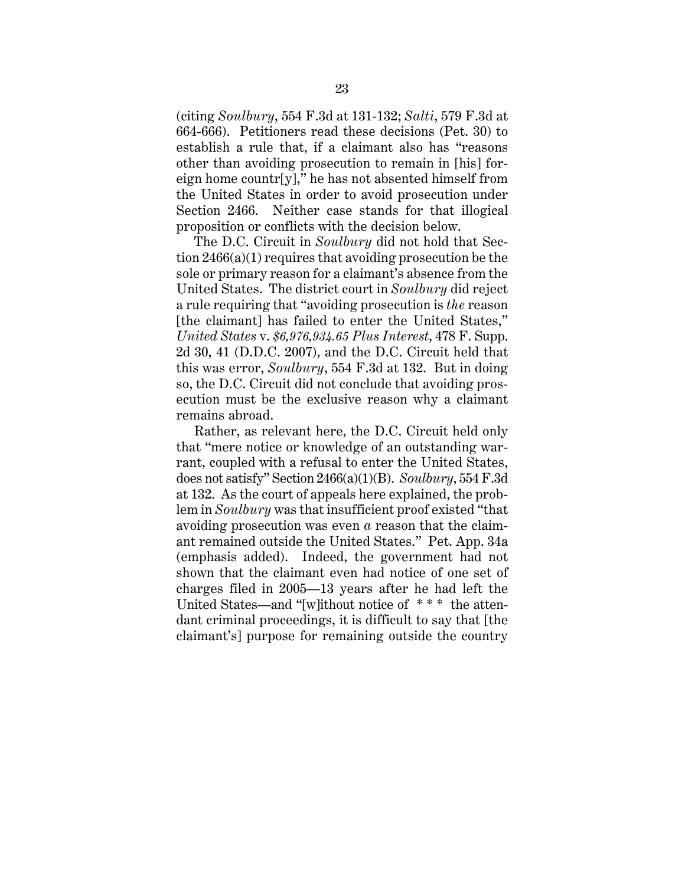(citing *Soulbury*, 554 F.3d at 131-132; *Salti*, 579 F.3d at 664-666). Petitioners read these decisions (Pet. 30) to establish a rule that, if a claimant also has "reasons other than avoiding prosecution to remain in [his] foreign home countr[y]," he has not absented himself from the United States in order to avoid prosecution under Section 2466. Neither case stands for that illogical proposition or conflicts with the decision below.

The D.C. Circuit in *Soulbury* did not hold that Section 2466(a)(1) requires that avoiding prosecution be the sole or primary reason for a claimant's absence from the United States. The district court in *Soulbury* did reject a rule requiring that "avoiding prosecution is *the* reason [the claimant] has failed to enter the United States," *United States* v. *\$6,976,934.65 Plus Interest*, 478 F. Supp. 2d 30, 41 (D.D.C. 2007), and the D.C. Circuit held that this was error, *Soulbury*, 554 F.3d at 132. But in doing so, the D.C. Circuit did not conclude that avoiding prosecution must be the exclusive reason why a claimant remains abroad.

Rather, as relevant here, the D.C. Circuit held only that "mere notice or knowledge of an outstanding warrant, coupled with a refusal to enter the United States, does not satisfy" Section 2466(a)(1)(B). *Soulbury*, 554 F.3d at 132. As the court of appeals here explained, the problem in *Soulbury* was that insufficient proof existed "that avoiding prosecution was even *a* reason that the claimant remained outside the United States." Pet. App. 34a (emphasis added). Indeed, the government had not shown that the claimant even had notice of one set of charges filed in 2005—13 years after he had left the United States—and "[w]ithout notice of \* \* \* the attendant criminal proceedings, it is difficult to say that [the claimant's] purpose for remaining outside the country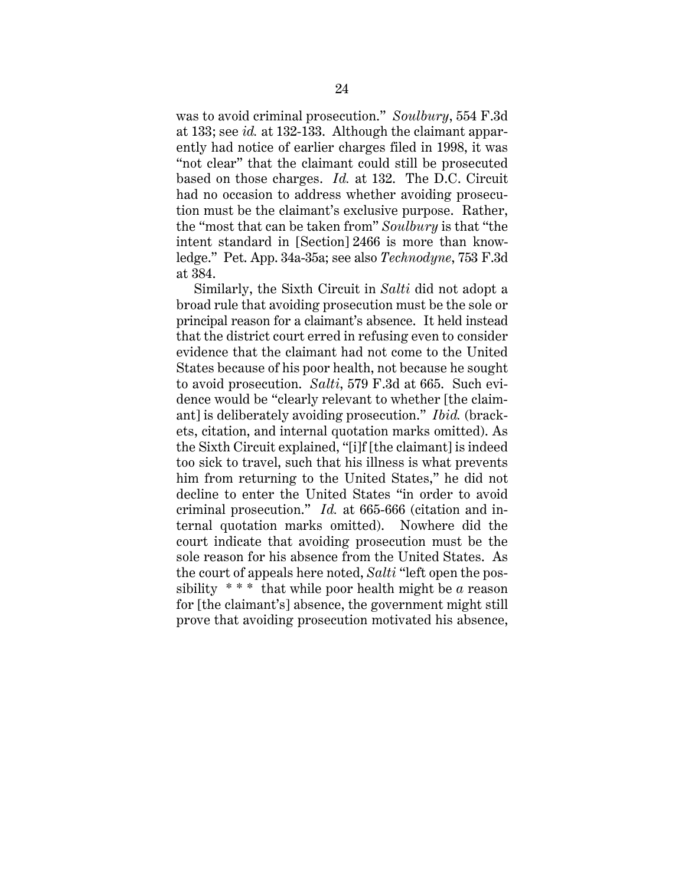was to avoid criminal prosecution." *Soulbury*, 554 F.3d at 133; see *id.* at 132-133. Although the claimant apparently had notice of earlier charges filed in 1998, it was "not clear" that the claimant could still be prosecuted based on those charges. *Id.* at 132. The D.C. Circuit had no occasion to address whether avoiding prosecution must be the claimant's exclusive purpose. Rather, the "most that can be taken from" *Soulbury* is that "the intent standard in [Section] 2466 is more than knowledge." Pet. App. 34a-35a; see also *Technodyne*, 753 F.3d at 384.

Similarly, the Sixth Circuit in *Salti* did not adopt a broad rule that avoiding prosecution must be the sole or principal reason for a claimant's absence. It held instead that the district court erred in refusing even to consider evidence that the claimant had not come to the United States because of his poor health, not because he sought to avoid prosecution. *Salti*, 579 F.3d at 665. Such evidence would be "clearly relevant to whether [the claimant] is deliberately avoiding prosecution." *Ibid.* (brackets, citation, and internal quotation marks omitted). As the Sixth Circuit explained, "[i]f [the claimant] is indeed too sick to travel, such that his illness is what prevents him from returning to the United States," he did not decline to enter the United States "in order to avoid criminal prosecution." *Id.* at 665-666 (citation and internal quotation marks omitted). Nowhere did the court indicate that avoiding prosecution must be the sole reason for his absence from the United States. As the court of appeals here noted, *Salti* "left open the possibility  $***$  that while poor health might be  $\alpha$  reason for [the claimant's] absence, the government might still prove that avoiding prosecution motivated his absence,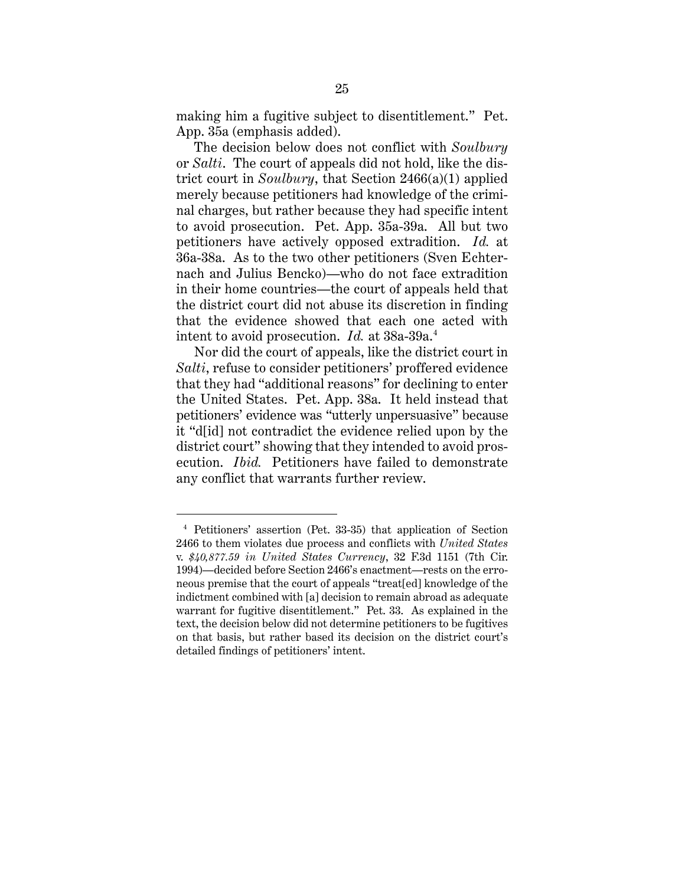making him a fugitive subject to disentitlement." Pet. App. 35a (emphasis added).

The decision below does not conflict with *Soulbury*  or *Salti*. The court of appeals did not hold, like the district court in *Soulbury*, that Section 2466(a)(1) applied merely because petitioners had knowledge of the criminal charges, but rather because they had specific intent to avoid prosecution. Pet. App. 35a-39a. All but two petitioners have actively opposed extradition. *Id.* at 36a-38a. As to the two other petitioners (Sven Echternach and Julius Bencko)—who do not face extradition in their home countries—the court of appeals held that the district court did not abuse its discretion in finding that the evidence showed that each one acted with intent to avoid prosecution. *Id.* at 38a-39a.4

Nor did the court of appeals, like the district court in *Salti*, refuse to consider petitioners' proffered evidence that they had "additional reasons" for declining to enter the United States. Pet. App. 38a. It held instead that petitioners' evidence was "utterly unpersuasive" because it "d[id] not contradict the evidence relied upon by the district court" showing that they intended to avoid prosecution. *Ibid.* Petitioners have failed to demonstrate any conflict that warrants further review.

 $\overline{a}$ 

<sup>4</sup> Petitioners' assertion (Pet. 33-35) that application of Section 2466 to them violates due process and conflicts with *United States* v. *\$40,877.59 in United States Currency*, 32 F.3d 1151 (7th Cir. 1994)—decided before Section 2466's enactment—rests on the erroneous premise that the court of appeals "treat[ed] knowledge of the indictment combined with [a] decision to remain abroad as adequate warrant for fugitive disentitlement." Pet. 33. As explained in the text, the decision below did not determine petitioners to be fugitives on that basis, but rather based its decision on the district court's detailed findings of petitioners' intent.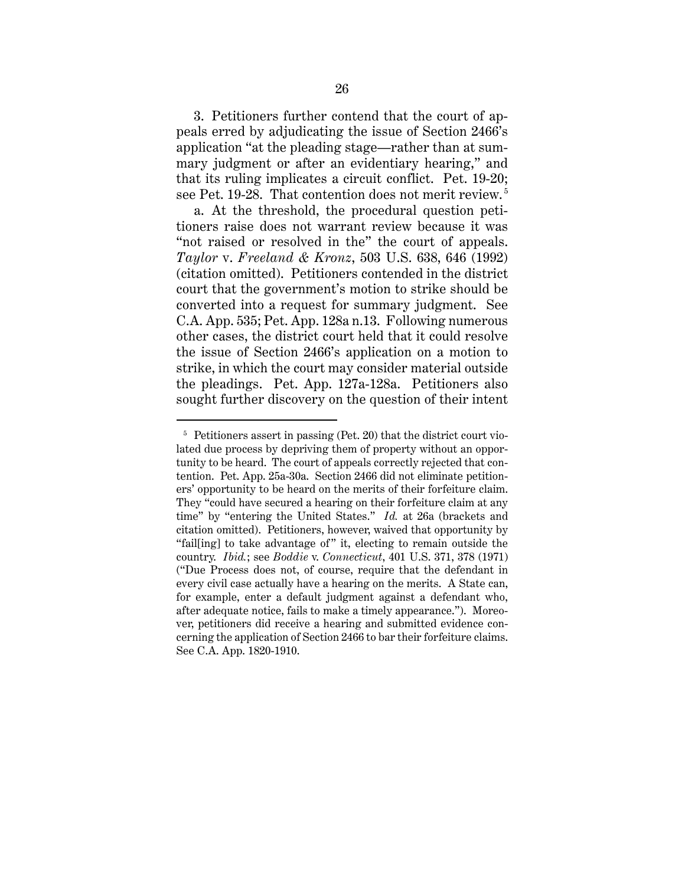3. Petitioners further contend that the court of appeals erred by adjudicating the issue of Section 2466's application "at the pleading stage—rather than at summary judgment or after an evidentiary hearing," and that its ruling implicates a circuit conflict. Pet. 19-20; see Pet. 19-28. That contention does not merit review.<sup>5</sup>

a. At the threshold, the procedural question petitioners raise does not warrant review because it was "not raised or resolved in the" the court of appeals. *Taylor* v. *Freeland & Kronz*, 503 U.S. 638, 646 (1992) (citation omitted). Petitioners contended in the district court that the government's motion to strike should be converted into a request for summary judgment. See C.A. App. 535; Pet. App. 128a n.13. Following numerous other cases, the district court held that it could resolve the issue of Section 2466's application on a motion to strike, in which the court may consider material outside the pleadings. Pet. App. 127a-128a. Petitioners also sought further discovery on the question of their intent

 $\overline{a}$ 

 $5$  Petitioners assert in passing (Pet. 20) that the district court violated due process by depriving them of property without an opportunity to be heard. The court of appeals correctly rejected that contention. Pet. App. 25a-30a. Section 2466 did not eliminate petitioners' opportunity to be heard on the merits of their forfeiture claim. They "could have secured a hearing on their forfeiture claim at any time" by "entering the United States." *Id.* at 26a (brackets and citation omitted). Petitioners, however, waived that opportunity by "fail[ing] to take advantage of " it, electing to remain outside the country. *Ibid.*; see *Boddie* v. *Connecticut*, 401 U.S. 371, 378 (1971) ("Due Process does not, of course, require that the defendant in every civil case actually have a hearing on the merits. A State can, for example, enter a default judgment against a defendant who, after adequate notice, fails to make a timely appearance."). Moreover, petitioners did receive a hearing and submitted evidence concerning the application of Section 2466 to bar their forfeiture claims. See C.A. App. 1820-1910.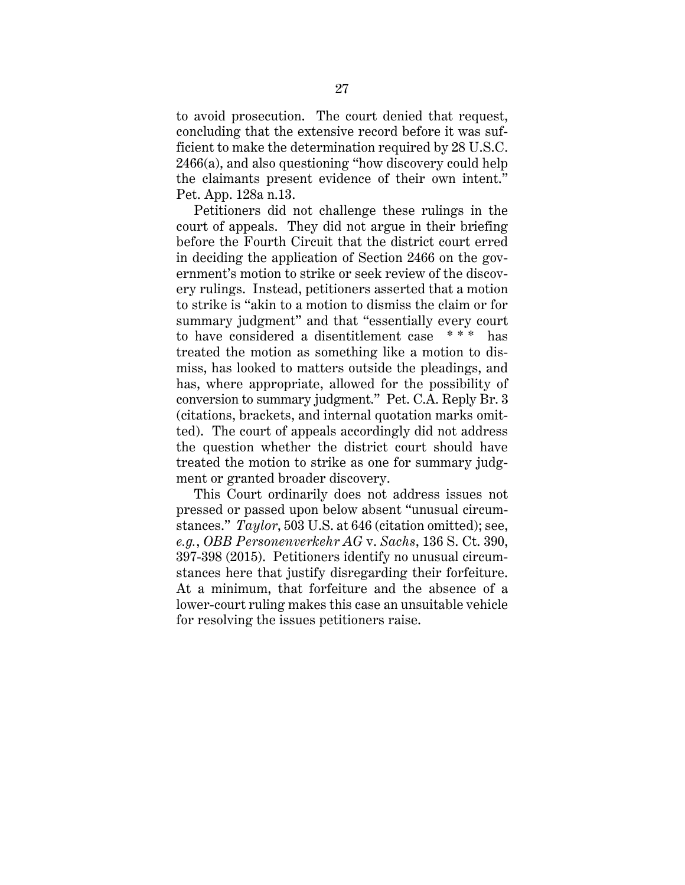to avoid prosecution. The court denied that request, concluding that the extensive record before it was sufficient to make the determination required by 28 U.S.C. 2466(a), and also questioning "how discovery could help the claimants present evidence of their own intent." Pet. App. 128a n.13.

Petitioners did not challenge these rulings in the court of appeals. They did not argue in their briefing before the Fourth Circuit that the district court erred in deciding the application of Section 2466 on the government's motion to strike or seek review of the discovery rulings. Instead, petitioners asserted that a motion to strike is "akin to a motion to dismiss the claim or for summary judgment" and that "essentially every court to have considered a disentitlement case \* \* \* has treated the motion as something like a motion to dismiss, has looked to matters outside the pleadings, and has, where appropriate, allowed for the possibility of conversion to summary judgment." Pet. C.A. Reply Br. 3 (citations, brackets, and internal quotation marks omitted). The court of appeals accordingly did not address the question whether the district court should have treated the motion to strike as one for summary judgment or granted broader discovery.

This Court ordinarily does not address issues not pressed or passed upon below absent "unusual circumstances." *Taylor*, 503 U.S. at 646 (citation omitted); see, *e.g.*, *OBB Personenverkehr AG* v. *Sachs*, 136 S. Ct. 390, 397-398 (2015). Petitioners identify no unusual circumstances here that justify disregarding their forfeiture. At a minimum, that forfeiture and the absence of a lower-court ruling makes this case an unsuitable vehicle for resolving the issues petitioners raise.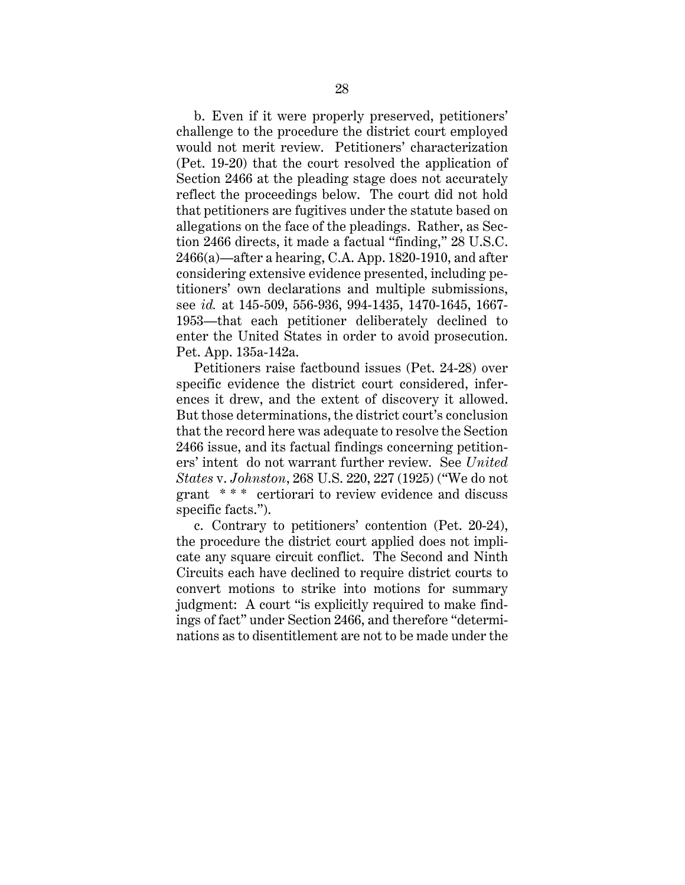b. Even if it were properly preserved, petitioners' challenge to the procedure the district court employed would not merit review. Petitioners' characterization (Pet. 19-20) that the court resolved the application of Section 2466 at the pleading stage does not accurately reflect the proceedings below. The court did not hold that petitioners are fugitives under the statute based on allegations on the face of the pleadings. Rather, as Section 2466 directs, it made a factual "finding," 28 U.S.C. 2466(a)—after a hearing, C.A. App. 1820-1910, and after considering extensive evidence presented, including petitioners' own declarations and multiple submissions, see *id.* at 145-509, 556-936, 994-1435, 1470-1645, 1667- 1953—that each petitioner deliberately declined to enter the United States in order to avoid prosecution. Pet. App. 135a-142a.

Petitioners raise factbound issues (Pet. 24-28) over specific evidence the district court considered, inferences it drew, and the extent of discovery it allowed. But those determinations, the district court's conclusion that the record here was adequate to resolve the Section 2466 issue, and its factual findings concerning petitioners' intent do not warrant further review. See *United States* v. *Johnston*, 268 U.S. 220, 227 (1925) ("We do not grant \* \* \* certiorari to review evidence and discuss specific facts.").

c. Contrary to petitioners' contention (Pet. 20-24), the procedure the district court applied does not implicate any square circuit conflict. The Second and Ninth Circuits each have declined to require district courts to convert motions to strike into motions for summary judgment: A court "is explicitly required to make findings of fact" under Section 2466, and therefore "determinations as to disentitlement are not to be made under the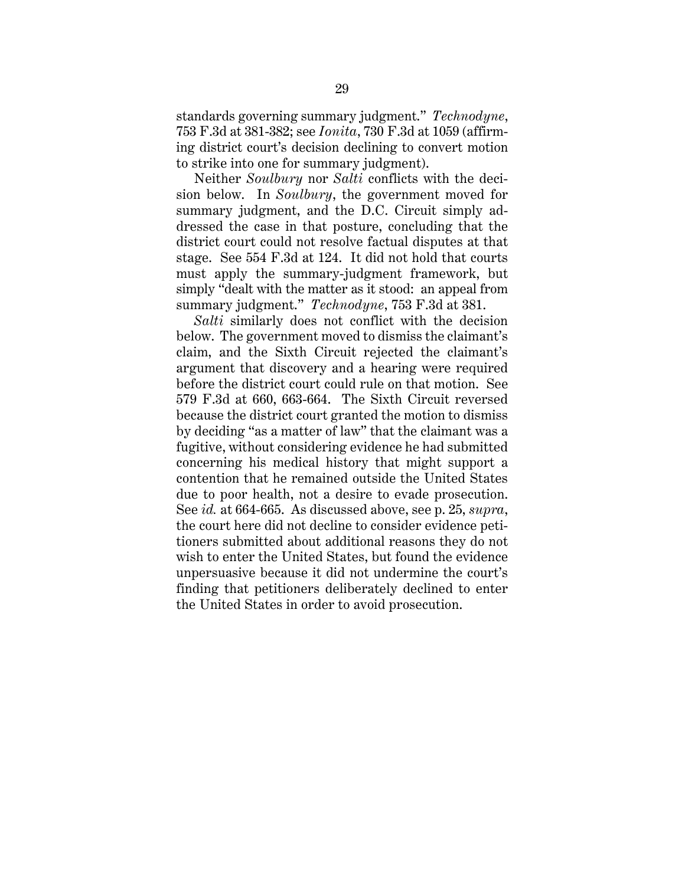standards governing summary judgment." *Technodyne*, 753 F.3d at 381-382; see *Ionita*, 730 F.3d at 1059 (affirming district court's decision declining to convert motion to strike into one for summary judgment).

Neither *Soulbury* nor *Salti* conflicts with the decision below. In *Soulbury*, the government moved for summary judgment, and the D.C. Circuit simply addressed the case in that posture, concluding that the district court could not resolve factual disputes at that stage. See 554 F.3d at 124. It did not hold that courts must apply the summary-judgment framework, but simply "dealt with the matter as it stood: an appeal from summary judgment." *Technodyne*, 753 F.3d at 381.

*Salti* similarly does not conflict with the decision below. The government moved to dismiss the claimant's claim, and the Sixth Circuit rejected the claimant's argument that discovery and a hearing were required before the district court could rule on that motion. See 579 F.3d at 660, 663-664. The Sixth Circuit reversed because the district court granted the motion to dismiss by deciding "as a matter of law" that the claimant was a fugitive, without considering evidence he had submitted concerning his medical history that might support a contention that he remained outside the United States due to poor health, not a desire to evade prosecution. See *id.* at 664-665. As discussed above, see p. 25, *supra*, the court here did not decline to consider evidence petitioners submitted about additional reasons they do not wish to enter the United States, but found the evidence unpersuasive because it did not undermine the court's finding that petitioners deliberately declined to enter the United States in order to avoid prosecution.